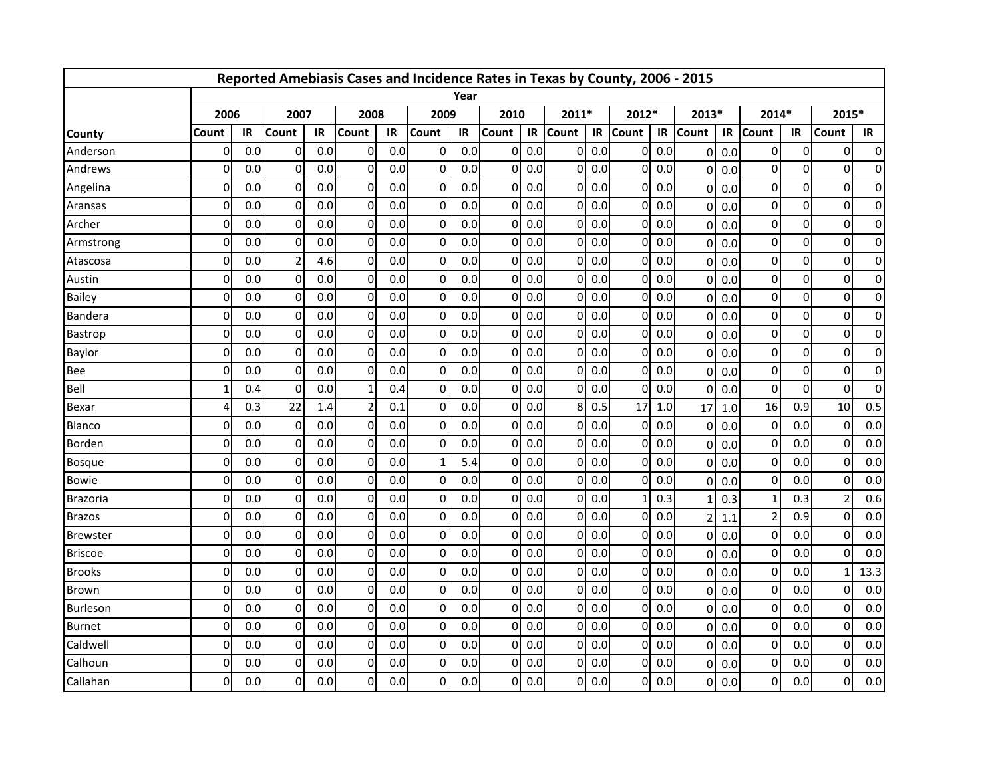|                 |              |     |                |     | Reported Amebiasis Cases and Incidence Rates in Texas by County, 2006 - 2015 |     |                |      |              |     |              |     |              |     |                |     |                |             |                          |                |
|-----------------|--------------|-----|----------------|-----|------------------------------------------------------------------------------|-----|----------------|------|--------------|-----|--------------|-----|--------------|-----|----------------|-----|----------------|-------------|--------------------------|----------------|
|                 |              |     |                |     |                                                                              |     |                | Year |              |     |              |     |              |     |                |     |                |             |                          |                |
|                 | 2006         |     | 2007           |     | 2008                                                                         |     | 2009           |      | 2010         |     | 2011*        |     | 2012*        |     | 2013*          |     | 2014*          |             | 2015*                    |                |
| <b>County</b>   | Count        | IR  | Count          | IR  | Count                                                                        | IR  | Count          | IR   | <b>Count</b> | IR  | <b>Count</b> | IR  | <b>Count</b> | IR  | <b>Count</b>   | IR  | <b>Count</b>   | IR          | Count                    | IR             |
| Anderson        | 0            | 0.0 | $\overline{0}$ | 0.0 | 0                                                                            | 0.0 | $\overline{0}$ | 0.0  | 0            | 0.0 | $\Omega$     | 0.0 | $\Omega$     | 0.0 | $\mathbf 0$    | 0.0 | $\mathbf 0$    | 0           | $\Omega$                 | 0              |
| Andrews         | $\Omega$     | 0.0 | 0              | 0.0 | 0                                                                            | 0.0 | $\overline{0}$ | 0.0  | 0            | 0.0 | $\Omega$     | 0.0 | $\Omega$     | 0.0 | $\mathbf 0$    | 0.0 | 0              | $\mathbf 0$ | $\mathbf 0$              | $\mathbf 0$    |
| Angelina        | 0            | 0.0 | $\Omega$       | 0.0 | $\Omega$                                                                     | 0.0 | $\overline{0}$ | 0.0  | 0            | 0.0 | $\Omega$     | 0.0 | 0            | 0.0 | $\Omega$       | 0.0 | 0              | $\mathbf 0$ | $\Omega$                 | 0              |
| Aransas         | $\mathbf{0}$ | 0.0 | $\mathbf 0$    | 0.0 | $\Omega$                                                                     | 0.0 | $\overline{0}$ | 0.0  | 0            | 0.0 | $\Omega$     | 0.0 | $\Omega$     | 0.0 | $\mathbf{0}$   | 0.0 | $\mathbf 0$    | 0           | $\Omega$                 | 0              |
| Archer          | $\Omega$     | 0.0 | $\Omega$       | 0.0 | $\Omega$                                                                     | 0.0 | $\overline{0}$ | 0.0  | $\Omega$     | 0.0 | $\Omega$     | 0.0 | Οl           | 0.0 | $\mathbf 0$    | 0.0 | $\mathbf 0$    | 0           | $\Omega$                 | 0              |
| Armstrong       | 0            | 0.0 | $\Omega$       | 0.0 | 0                                                                            | 0.0 | $\overline{0}$ | 0.0  | 0            | 0.0 | $\Omega$     | 0.0 | Οl           | 0.0 | $\mathbf{0}$   | 0.0 | $\mathbf 0$    | $\mathbf 0$ | $\Omega$                 | 0              |
| Atascosa        | $\Omega$     | 0.0 | 2              | 4.6 | $\Omega$                                                                     | 0.0 | $\overline{0}$ | 0.0  | 0            | 0.0 | <sup>0</sup> | 0.0 | $\Omega$     | 0.0 | $\Omega$       | 0.0 | 0              | $\pmb{0}$   | $\mathbf 0$              | 0              |
| Austin          | 0            | 0.0 | $\overline{0}$ | 0.0 | $\Omega$                                                                     | 0.0 | $\overline{0}$ | 0.0  | 0            | 0.0 | $\Omega$     | 0.0 | $\Omega$     | 0.0 | $\Omega$       | 0.0 | $\overline{0}$ | $\mathbf 0$ | 0                        | 0              |
| <b>Bailey</b>   | 0            | 0.0 | $\mathbf{0}$   | 0.0 | $\Omega$                                                                     | 0.0 | $\overline{0}$ | 0.0  | 0            | 0.0 | $\Omega$     | 0.0 | $\Omega$     | 0.0 | $\mathbf{0}$   | 0.0 | $\mathbf 0$    | $\mathbf 0$ | $\Omega$                 | 0              |
| Bandera         | $\Omega$     | 0.0 | $\Omega$       | 0.0 | 0                                                                            | 0.0 | $\overline{0}$ | 0.0  | 0            | 0.0 | $\Omega$     | 0.0 | ΩI           | 0.0 | $\mathbf 0$    | 0.0 | $\Omega$       | 0           | $\Omega$                 | 0              |
| Bastrop         | 0            | 0.0 | $\overline{0}$ | 0.0 | 0                                                                            | 0.0 | $\overline{0}$ | 0.0  | 0            | 0.0 | $\Omega$     | 0.0 | Οl           | 0.0 | $\Omega$       | 0.0 | $\mathbf 0$    | $\mathbf 0$ | $\Omega$                 | 0              |
| Baylor          | $\Omega$     | 0.0 | $\mathbf 0$    | 0.0 | $\Omega$                                                                     | 0.0 | $\overline{0}$ | 0.0  | 0            | 0.0 | $\Omega$     | 0.0 | 0            | 0.0 | $\mathbf 0$    | 0.0 | $\mathbf 0$    | $\pmb{0}$   | $\mathbf 0$              | 0              |
| Bee             | U            | 0.0 | $\Omega$       | 0.0 | $\Omega$                                                                     | 0.0 | $\overline{0}$ | 0.0  | 0            | 0.0 | $\Omega$     | 0.0 | $\Omega$     | 0.0 | $\Omega$       | 0.0 | $\mathbf 0$    | $\mathbf 0$ | $\Omega$                 | $\overline{0}$ |
| <b>Bell</b>     |              | 0.4 | $\mathbf 0$    | 0.0 |                                                                              | 0.4 | $\overline{0}$ | 0.0  | 0            | 0.0 | $\Omega$     | 0.0 | $\Omega$     | 0.0 | $\mathbf{0}$   | 0.0 | $\mathbf 0$    | $\mathbf 0$ | $\Omega$                 | 0              |
| Bexar           | Δ            | 0.3 | 22             | 1.4 | 2                                                                            | 0.1 | $\overline{0}$ | 0.0  | 0            | 0.0 | 8            | 0.5 | 17           | 1.0 | 17             | 1.0 | 16             | 0.9         | 10                       | 0.5            |
| Blanco          | 0            | 0.0 | $\overline{0}$ | 0.0 | 0                                                                            | 0.0 | $\overline{0}$ | 0.0  | 0            | 0.0 | $\Omega$     | 0.0 | Οl           | 0.0 | $\Omega$       | 0.0 | $\mathbf 0$    | 0.0         | 0                        | 0.0            |
| <b>Borden</b>   | $\Omega$     | 0.0 | $\mathbf 0$    | 0.0 | $\Omega$                                                                     | 0.0 | $\overline{0}$ | 0.0  | 0            | 0.0 | $\Omega$     | 0.0 | $\Omega$     | 0.0 | $\mathbf 0$    | 0.0 | 0              | 0.0         | $\mathbf 0$              | 0.0            |
| <b>Bosque</b>   | 0            | 0.0 | $\Omega$       | 0.0 | $\Omega$                                                                     | 0.0 | $\mathbf{1}$   | 5.4  | 0            | 0.0 | $\Omega$     | 0.0 | $\Omega$     | 0.0 | $\Omega$       | 0.0 | $\mathbf 0$    | 0.0         | $\Omega$                 | 0.0            |
| <b>Bowie</b>    | 0            | 0.0 | $\Omega$       | 0.0 | $\Omega$                                                                     | 0.0 | $\overline{0}$ | 0.0  | 0            | 0.0 | $\Omega$     | 0.0 | $\Omega$     | 0.0 | $\mathbf{0}$   | 0.0 | $\mathbf 0$    | 0.0         | $\Omega$                 | 0.0            |
| <b>Brazoria</b> | $\Omega$     | 0.0 | $\Omega$       | 0.0 | $\Omega$                                                                     | 0.0 | $\Omega$       | 0.0  | 0            | 0.0 | $\Omega$     | 0.0 |              | 0.3 | $\mathbf{1}$   | 0.3 | $\mathbf{1}$   | 0.3         | $\overline{\phantom{a}}$ | 0.6            |
| <b>Brazos</b>   | $\mathbf{0}$ | 0.0 | $\mathbf 0$    | 0.0 | $\Omega$                                                                     | 0.0 | $\overline{0}$ | 0.0  | 0            | 0.0 | $\Omega$     | 0.0 | $\Omega$     | 0.0 | $\overline{2}$ | 1.1 | $\overline{a}$ | 0.9         | $\Omega$                 | 0.0            |
| <b>Brewster</b> | $\Omega$     | 0.0 | $\mathbf 0$    | 0.0 | $\Omega$                                                                     | 0.0 | $\overline{0}$ | 0.0  | 0            | 0.0 | $\Omega$     | 0.0 | $\Omega$     | 0.0 | $\Omega$       | 0.0 | 0              | 0.0         | $\Omega$                 | 0.0            |
| <b>Briscoe</b>  | 0            | 0.0 | 0              | 0.0 | $\Omega$                                                                     | 0.0 | $\overline{0}$ | 0.0  | 0            | 0.0 | $\Omega$     | 0.0 | $\Omega$     | 0.0 | $\mathbf{0}$   | 0.0 | $\mathbf 0$    | 0.0         | $\Omega$                 | 0.0            |
| <b>Brooks</b>   | 0            | 0.0 | $\overline{0}$ | 0.0 | $\Omega$                                                                     | 0.0 | $\overline{0}$ | 0.0  | 0            | 0.0 | $\Omega$     | 0.0 | $\Omega$     | 0.0 | $\mathbf{0}$   | 0.0 | $\mathbf 0$    | 0.0         |                          | 13.3           |
| Brown           | $\Omega$     | 0.0 | $\Omega$       | 0.0 | $\Omega$                                                                     | 0.0 | $\overline{0}$ | 0.0  | 0            | 0.0 | $\Omega$     | 0.0 | $\Omega$     | 0.0 | $\mathbf 0$    | 0.0 | $\overline{0}$ | 0.0         | $\Omega$                 | 0.0            |
| <b>Burleson</b> | $\mathbf{0}$ | 0.0 | 0              | 0.0 | $\Omega$                                                                     | 0.0 | $\overline{0}$ | 0.0  | 0            | 0.0 | $\Omega$     | 0.0 | $\Omega$     | 0.0 | $\Omega$       | 0.0 | $\mathbf 0$    | 0.0         | $\Omega$                 | 0.0            |
| <b>Burnet</b>   | 0            | 0.0 | $\mathbf 0$    | 0.0 | $\Omega$                                                                     | 0.0 | $\overline{0}$ | 0.0  | 0            | 0.0 | $\Omega$     | 0.0 | $\Omega$     | 0.0 | $\mathbf 0$    | 0.0 | 0              | 0.0         | 0                        | 0.0            |
| Caldwell        | $\Omega$     | 0.0 | $\Omega$       | 0.0 | $\Omega$                                                                     | 0.0 | $\overline{0}$ | 0.0  | 0            | 0.0 | $\Omega$     | 0.0 | $\Omega$     | 0.0 | $\mathbf{0}$   | 0.0 | $\Omega$       | 0.0         | $\Omega$                 | 0.0            |
| Calhoun         | 0            | 0.0 | 0              | 0.0 | 0                                                                            | 0.0 | $\overline{0}$ | 0.0  | 0            | 0.0 | 0            | 0.0 | $\Omega$     | 0.0 | $\mathbf{0}$   | 0.0 | $\mathbf 0$    | 0.0         | $\Omega$                 | 0.0            |
| Callahan        | 0            | 0.0 | $\Omega$       | 0.0 | 0                                                                            | 0.0 | $\overline{0}$ | 0.0  | 0            | 0.0 | $\Omega$     | 0.0 | 0I           | 0.0 | $\overline{0}$ | 0.0 | $\overline{0}$ | 0.0         | 0                        | 0.0            |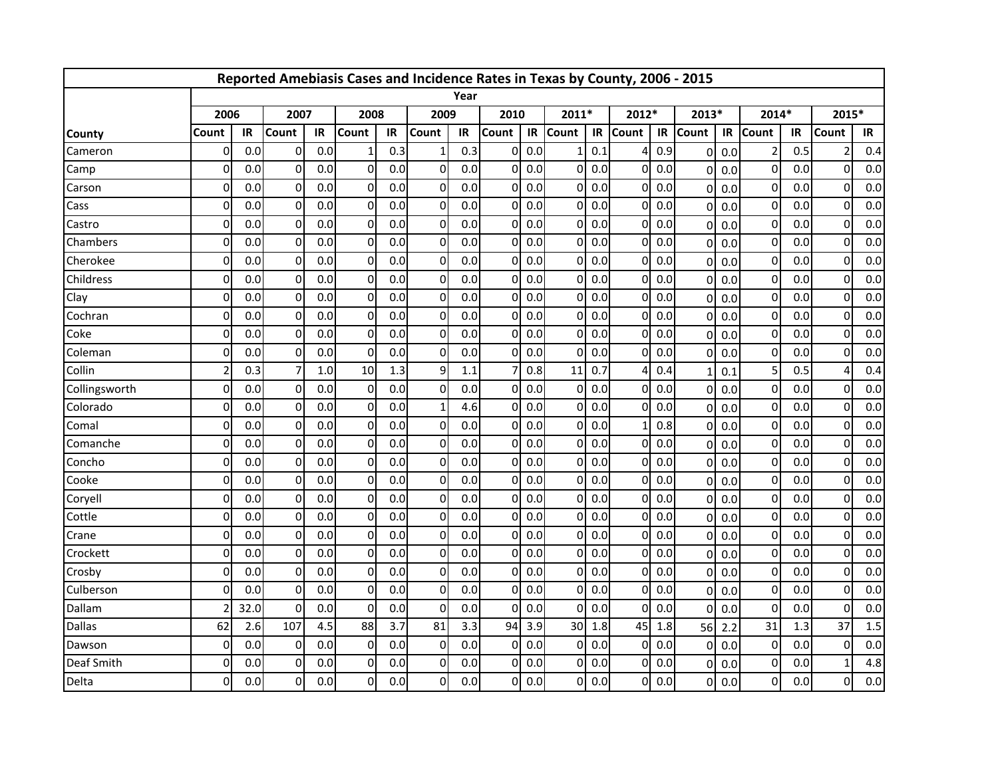|               |                |      |                |     | Reported Amebiasis Cases and Incidence Rates in Texas by County, 2006 - 2015 |     |                |      |              |     |              |     |              |     |                |     |                |     |                |     |
|---------------|----------------|------|----------------|-----|------------------------------------------------------------------------------|-----|----------------|------|--------------|-----|--------------|-----|--------------|-----|----------------|-----|----------------|-----|----------------|-----|
|               |                |      |                |     |                                                                              |     |                | Year |              |     |              |     |              |     |                |     |                |     |                |     |
|               | 2006           |      | 2007           |     | 2008                                                                         |     | 2009           |      | 2010         |     | 2011*        |     | 2012*        |     | 2013*          |     | 2014*          |     | 2015*          |     |
| <b>County</b> | Count          | IR   | Count          | IR  | Count                                                                        | IR  | Count          | IR   | <b>Count</b> | IR  | <b>Count</b> | IR  | <b>Count</b> | IR  | <b>Count</b>   | IR  | <b>Count</b>   | IR  | Count          | IR  |
| Cameron       | 0              | 0.0  | $\overline{0}$ | 0.0 |                                                                              | 0.3 | 1              | 0.3  | 0            | 0.0 |              | 0.1 |              | 0.9 | $\mathbf 0$    | 0.0 | $\overline{2}$ | 0.5 | $\overline{2}$ | 0.4 |
| Camp          | $\Omega$       | 0.0  | 0              | 0.0 | 0                                                                            | 0.0 | $\overline{0}$ | 0.0  | 0            | 0.0 | $\Omega$     | 0.0 | $\Omega$     | 0.0 | $\mathbf{0}$   | 0.0 | $\mathbf 0$    | 0.0 | $\mathbf 0$    | 0.0 |
| Carson        | $\Omega$       | 0.0  | $\overline{0}$ | 0.0 | $\Omega$                                                                     | 0.0 | $\overline{0}$ | 0.0  | 0            | 0.0 | $\Omega$     | 0.0 | 0            | 0.0 | $\Omega$       | 0.0 | $\mathbf 0$    | 0.0 | $\Omega$       | 0.0 |
| Cass          | $\mathbf{0}$   | 0.0  | $\mathbf 0$    | 0.0 | $\Omega$                                                                     | 0.0 | $\overline{0}$ | 0.0  | 0            | 0.0 | $\Omega$     | 0.0 | $\Omega$     | 0.0 | $\mathbf{0}$   | 0.0 | $\mathbf 0$    | 0.0 | $\Omega$       | 0.0 |
| Castro        | $\Omega$       | 0.0  | $\Omega$       | 0.0 | $\Omega$                                                                     | 0.0 | $\overline{0}$ | 0.0  | $\Omega$     | 0.0 | $\Omega$     | 0.0 | ΩI           | 0.0 | $\mathbf 0$    | 0.0 | $\Omega$       | 0.0 | $\Omega$       | 0.0 |
| Chambers      | $\mathbf{0}$   | 0.0  | $\overline{0}$ | 0.0 | 0                                                                            | 0.0 | $\overline{0}$ | 0.0  | 0            | 0.0 | $\Omega$     | 0.0 | Οl           | 0.0 | $\mathbf{0}$   | 0.0 | $\mathbf 0$    | 0.0 | $\Omega$       | 0.0 |
| Cherokee      | $\Omega$       | 0.0  | $\mathbf 0$    | 0.0 | $\Omega$                                                                     | 0.0 | $\overline{0}$ | 0.0  | 0            | 0.0 | <sup>0</sup> | 0.0 | $\Omega$     | 0.0 | $\Omega$       | 0.0 | $\mathbf 0$    | 0.0 | 0              | 0.0 |
| Childress     | $\Omega$       | 0.0  | $\overline{0}$ | 0.0 | $\Omega$                                                                     | 0.0 | $\overline{0}$ | 0.0  | U            | 0.0 | $\Omega$     | 0.0 | $\Omega$     | 0.0 | $\Omega$       | 0.0 | $\mathbf 0$    | 0.0 | $\Omega$       | 0.0 |
| Clay          | $\mathbf{0}$   | 0.0  | $\mathbf{0}$   | 0.0 | $\Omega$                                                                     | 0.0 | $\overline{0}$ | 0.0  | 0            | 0.0 | $\Omega$     | 0.0 | $\Omega$     | 0.0 | $\mathbf{0}$   | 0.0 | $\mathbf 0$    | 0.0 | $\mathbf{0}$   | 0.0 |
| Cochran       | $\Omega$       | 0.0  | $\Omega$       | 0.0 | 0                                                                            | 0.0 | $\overline{0}$ | 0.0  | 0            | 0.0 | $\Omega$     | 0.0 | ΩI           | 0.0 | $\mathbf 0$    | 0.0 | $\mathbf{0}$   | 0.0 | $\Omega$       | 0.0 |
| Coke          | $\mathbf{0}$   | 0.0  | $\overline{0}$ | 0.0 | 0                                                                            | 0.0 | $\overline{0}$ | 0.0  | 0            | 0.0 | $\mathbf{0}$ | 0.0 | Οl           | 0.0 | $\Omega$       | 0.0 | $\mathbf 0$    | 0.0 | $\Omega$       | 0.0 |
| Coleman       | $\Omega$       | 0.0  | 0              | 0.0 | $\Omega$                                                                     | 0.0 | $\overline{0}$ | 0.0  | 0            | 0.0 | <sup>0</sup> | 0.0 | $\Omega$     | 0.0 | $\mathbf 0$    | 0.0 | $\mathbf 0$    | 0.0 | 0              | 0.0 |
| Collin        | $\overline{a}$ | 0.3  | 7              | 1.0 | 10                                                                           | 1.3 | $\overline{9}$ | 1.1  |              | 0.8 | 11           | 0.7 | Δ            | 0.4 | $\mathbf{1}$   | 0.1 | 5              | 0.5 | 4              | 0.4 |
| Collingsworth | $\mathbf{0}$   | 0.0  | 0              | 0.0 | 0                                                                            | 0.0 | $\overline{0}$ | 0.0  | 0            | 0.0 | $\Omega$     | 0.0 | $\Omega$     | 0.0 | $\mathbf 0$    | 0.0 | $\mathbf 0$    | 0.0 | $\Omega$       | 0.0 |
| Colorado      | $\Omega$       | 0.0  | $\Omega$       | 0.0 | $\Omega$                                                                     | 0.0 | $\mathbf{1}$   | 4.6  | 0            | 0.0 | $\Omega$     | 0.0 | $\Omega$     | 0.0 | $\mathbf 0$    | 0.0 | $\mathbf{0}$   | 0.0 | $\Omega$       | 0.0 |
| Comal         | $\mathbf{0}$   | 0.0  | $\overline{0}$ | 0.0 | 0                                                                            | 0.0 | $\overline{0}$ | 0.0  | 0            | 0.0 | $\Omega$     | 0.0 |              | 0.8 | $\Omega$       | 0.0 | $\mathbf 0$    | 0.0 | 0              | 0.0 |
| Comanche      | $\Omega$       | 0.0  | $\mathbf 0$    | 0.0 | $\Omega$                                                                     | 0.0 | $\overline{0}$ | 0.0  | 0            | 0.0 | $\Omega$     | 0.0 | $\Omega$     | 0.0 | $\Omega$       | 0.0 | 0              | 0.0 | $\mathbf 0$    | 0.0 |
| Concho        | $\Omega$       | 0.0  | $\Omega$       | 0.0 | $\Omega$                                                                     | 0.0 | $\overline{0}$ | 0.0  | 0            | 0.0 | $\Omega$     | 0.0 | $\Omega$     | 0.0 | $\Omega$       | 0.0 | $\mathbf 0$    | 0.0 | $\Omega$       | 0.0 |
| Cooke         | $\mathbf{0}$   | 0.0  | $\mathbf{0}$   | 0.0 | $\Omega$                                                                     | 0.0 | $\overline{0}$ | 0.0  | 0            | 0.0 | $\Omega$     | 0.0 | $\Omega$     | 0.0 | $\mathbf 0$    | 0.0 | $\mathbf 0$    | 0.0 | $\Omega$       | 0.0 |
| Coryell       | $\Omega$       | 0.0  | $\Omega$       | 0.0 | $\Omega$                                                                     | 0.0 | $\Omega$       | 0.0  | 0            | 0.0 | $\Omega$     | 0.0 | ΩI           | 0.0 | $\mathbf 0$    | 0.0 | $\mathbf{0}$   | 0.0 | $\Omega$       | 0.0 |
| Cottle        | $\mathbf{0}$   | 0.0  | 0              | 0.0 | 0                                                                            | 0.0 | $\overline{0}$ | 0.0  | 0            | 0.0 | $\Omega$     | 0.0 | $\Omega$     | 0.0 | $\Omega$       | 0.0 | $\mathbf 0$    | 0.0 | $\Omega$       | 0.0 |
| Crane         | $\Omega$       | 0.0  | $\mathbf 0$    | 0.0 | $\Omega$                                                                     | 0.0 | $\overline{0}$ | 0.0  | 0            | 0.0 | $\Omega$     | 0.0 | $\Omega$     | 0.0 | $\Omega$       | 0.0 | 0              | 0.0 | $\mathbf 0$    | 0.0 |
| Crockett      | 0              | 0.0  | 0              | 0.0 | $\Omega$                                                                     | 0.0 | $\overline{0}$ | 0.0  | 0            | 0.0 | $\Omega$     | 0.0 | $\Omega$     | 0.0 | $\mathbf{0}$   | 0.0 | $\mathbf 0$    | 0.0 | $\Omega$       | 0.0 |
| Crosby        | 0              | 0.0  | $\overline{0}$ | 0.0 | $\Omega$                                                                     | 0.0 | $\overline{0}$ | 0.0  | 0            | 0.0 | $\Omega$     | 0.0 | $\Omega$     | 0.0 | $\mathbf{0}$   | 0.0 | $\mathbf 0$    | 0.0 | $\Omega$       | 0.0 |
| Culberson     | $\Omega$       | 0.0  | $\mathbf 0$    | 0.0 | $\Omega$                                                                     | 0.0 | $\overline{0}$ | 0.0  | 0            | 0.0 | $\Omega$     | 0.0 | $\Omega$     | 0.0 | $\mathbf 0$    | 0.0 | $\overline{0}$ | 0.0 | $\mathbf 0$    | 0.0 |
| Dallam        |                | 32.0 | $\overline{0}$ | 0.0 | $\Omega$                                                                     | 0.0 | $\overline{0}$ | 0.0  | 0            | 0.0 | $\Omega$     | 0.0 | $\Omega$     | 0.0 | $\Omega$       | 0.0 | $\mathbf 0$    | 0.0 | $\Omega$       | 0.0 |
| <b>Dallas</b> | 62             | 2.6  | 107            | 4.5 | 88                                                                           | 3.7 | 81             | 3.3  | 94           | 3.9 | 30           | 1.8 | 45           | 1.8 | 56             | 2.2 | 31             | 1.3 | 37             | 1.5 |
| Dawson        | $\Omega$       | 0.0  | $\Omega$       | 0.0 | $\Omega$                                                                     | 0.0 | $\overline{0}$ | 0.0  | 0            | 0.0 | $\mathbf{0}$ | 0.0 | $\Omega$     | 0.0 | $\mathbf{0}$   | 0.0 | $\Omega$       | 0.0 | $\Omega$       | 0.0 |
| Deaf Smith    | 0              | 0.0  | 0              | 0.0 | 0                                                                            | 0.0 | $\overline{0}$ | 0.0  | 0            | 0.0 | $\Omega$     | 0.0 | $\Omega$     | 0.0 | $\mathbf{0}$   | 0.0 | $\mathbf 0$    | 0.0 | 1              | 4.8 |
| Delta         | $\Omega$       | 0.0  | $\Omega$       | 0.0 | $\Omega$                                                                     | 0.0 | $\overline{0}$ | 0.0  | 0            | 0.0 | $\Omega$     | 0.0 | 0I           | 0.0 | $\overline{0}$ | 0.0 | $\overline{0}$ | 0.0 | 0              | 0.0 |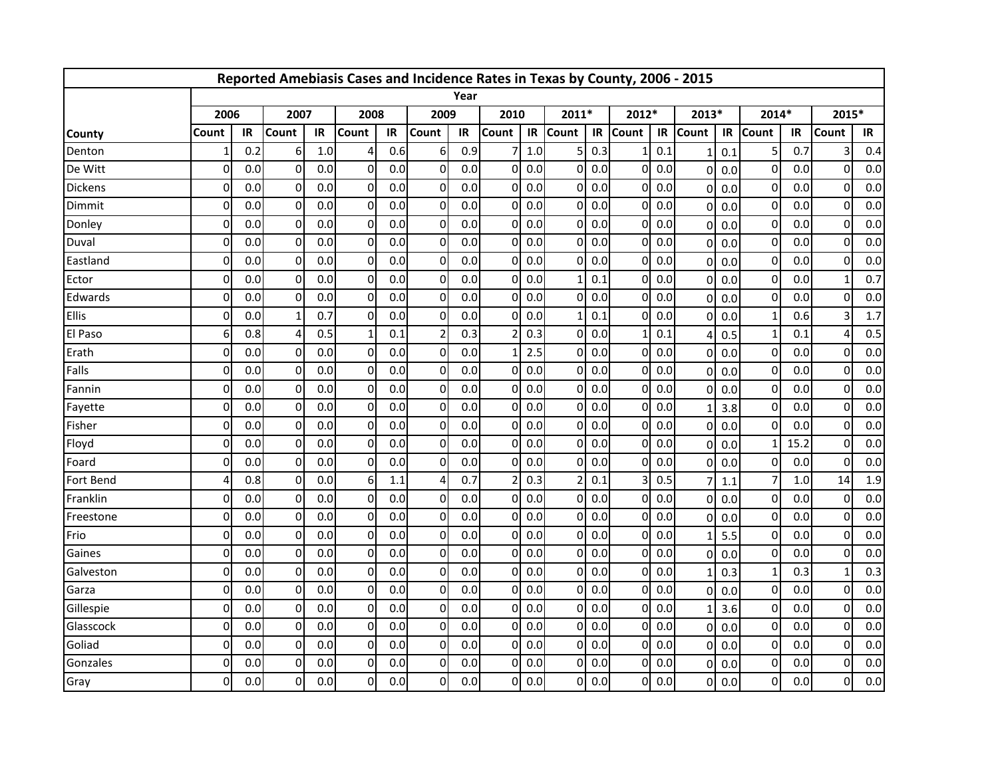|                |              |     |                |     | Reported Amebiasis Cases and Incidence Rates in Texas by County, 2006 - 2015 |     |                |      |                |         |              |     |              |     |                |     |                |      |              |     |
|----------------|--------------|-----|----------------|-----|------------------------------------------------------------------------------|-----|----------------|------|----------------|---------|--------------|-----|--------------|-----|----------------|-----|----------------|------|--------------|-----|
|                |              |     |                |     |                                                                              |     |                | Year |                |         |              |     |              |     |                |     |                |      |              |     |
|                | 2006         |     | 2007           |     | 2008                                                                         |     | 2009           |      | 2010           |         | 2011*        |     | 2012*        |     | 2013*          |     | 2014*          |      | 2015*        |     |
| <b>County</b>  | Count        | IR  | Count          | IR  | Count                                                                        | IR  | Count          | IR   | <b>Count</b>   | IR      | <b>Count</b> | IR  | <b>Count</b> | IR  | <b>Count</b>   | IR  | <b>Count</b>   | IR   | Count        | IR  |
| Denton         |              | 0.2 | 6              | 1.0 | 4                                                                            | 0.6 | 6              | 0.9  |                | $1.0\,$ | 5            | 0.3 |              | 0.1 | -1             | 0.1 | 5              | 0.7  | 3            | 0.4 |
| De Witt        | $\Omega$     | 0.0 | $\Omega$       | 0.0 | $\Omega$                                                                     | 0.0 | $\overline{0}$ | 0.0  | 0              | 0.0     | $\Omega$     | 0.0 | $\Omega$     | 0.0 | $\mathbf{0}$   | 0.0 | $\mathbf 0$    | 0.0  | $\Omega$     | 0.0 |
| <b>Dickens</b> | 0            | 0.0 | 0              | 0.0 | $\Omega$                                                                     | 0.0 | $\overline{0}$ | 0.0  | 0              | 0.0     | $\Omega$     | 0.0 | 0            | 0.0 | $\mathbf{0}$   | 0.0 | $\mathbf 0$    | 0.0  | $\Omega$     | 0.0 |
| Dimmit         | $\Omega$     | 0.0 | $\mathbf 0$    | 0.0 | $\Omega$                                                                     | 0.0 | $\overline{0}$ | 0.0  | 0              | 0.0     | $\Omega$     | 0.0 | $\Omega$     | 0.0 | $\mathbf{0}$   | 0.0 | $\mathbf 0$    | 0.0  | $\Omega$     | 0.0 |
| Donley         | $\mathbf{0}$ | 0.0 | $\overline{0}$ | 0.0 | $\Omega$                                                                     | 0.0 | $\overline{0}$ | 0.0  | $\overline{0}$ | 0.0     | $\Omega$     | 0.0 | Οl           | 0.0 | $\mathbf 0$    | 0.0 | $\mathbf 0$    | 0.0  | $\Omega$     | 0.0 |
| Duval          | 0            | 0.0 | $\overline{0}$ | 0.0 | $\Omega$                                                                     | 0.0 | $\overline{0}$ | 0.0  | 0              | 0.0     | $\Omega$     | 0.0 | Οl           | 0.0 | $\mathbf{0}$   | 0.0 | 0              | 0.0  | $\Omega$     | 0.0 |
| Eastland       | 0            | 0.0 | $\Omega$       | 0.0 | 0                                                                            | 0.0 | $\overline{0}$ | 0.0  | 0              | 0.0     | $\Omega$     | 0.0 | $\Omega$     | 0.0 | $\Omega$       | 0.0 | $\mathbf 0$    | 0.0  | $\Omega$     | 0.0 |
| Ector          | 0            | 0.0 | $\Omega$       | 0.0 | $\Omega$                                                                     | 0.0 | $\overline{0}$ | 0.0  | 0              | 0.0     |              | 0.1 | $\Omega$     | 0.0 | $\mathbf{0}$   | 0.0 | $\mathbf 0$    | 0.0  |              | 0.7 |
| Edwards        | $\Omega$     | 0.0 | $\Omega$       | 0.0 | $\Omega$                                                                     | 0.0 | $\Omega$       | 0.0  | 0              | 0.0     | $\Omega$     | 0.0 | $\Omega$     | 0.0 | $\Omega$       | 0.0 | $\Omega$       | 0.0  | $\Omega$     | 0.0 |
| Ellis          | $\Omega$     | 0.0 | $\mathbf{1}$   | 0.7 | $\Omega$                                                                     | 0.0 | $\overline{0}$ | 0.0  | 0              | 0.0     |              | 0.1 | $\Omega$     | 0.0 | $\Omega$       | 0.0 | $\mathbf{1}$   | 0.6  | 3            | 1.7 |
| El Paso        | 6            | 0.8 | 4              | 0.5 |                                                                              | 0.1 | $\overline{2}$ | 0.3  |                | 0.3     | $\Omega$     | 0.0 |              | 0.1 | 4              | 0.5 | $\mathbf{1}$   | 0.1  |              | 0.5 |
| Erath          | 0            | 0.0 | 0              | 0.0 | 0                                                                            | 0.0 | $\overline{0}$ | 0.0  | 1              | 2.5     | $\Omega$     | 0.0 | 0            | 0.0 | $\Omega$       | 0.0 | $\mathbf 0$    | 0.0  | $\Omega$     | 0.0 |
| Falls          | 0            | 0.0 | 0              | 0.0 | $\Omega$                                                                     | 0.0 | $\overline{0}$ | 0.0  | 0              | 0.0     | $\Omega$     | 0.0 | $\Omega$     | 0.0 | $\Omega$       | 0.0 | $\mathbf 0$    | 0.0  | $\Omega$     | 0.0 |
| Fannin         | $\Omega$     | 0.0 | $\Omega$       | 0.0 | $\Omega$                                                                     | 0.0 | $\overline{0}$ | 0.0  | 0              | 0.0     | $\Omega$     | 0.0 | $\Omega$     | 0.0 | $\mathbf 0$    | 0.0 | $\mathbf 0$    | 0.0  | $\Omega$     | 0.0 |
| Fayette        | $\Omega$     | 0.0 | $\Omega$       | 0.0 | $\Omega$                                                                     | 0.0 | $\overline{0}$ | 0.0  | 0              | 0.0     | $\Omega$     | 0.0 | Οl           | 0.0 | $\mathbf{1}$   | 3.8 | $\mathbf 0$    | 0.0  | $\Omega$     | 0.0 |
| Fisher         | $\Omega$     | 0.0 | $\Omega$       | 0.0 | $\Omega$                                                                     | 0.0 | $\overline{0}$ | 0.0  | 0              | 0.0     | $\Omega$     | 0.0 | ΩI           | 0.0 | $\Omega$       | 0.0 | $\Omega$       | 0.0  | $\Omega$     | 0.0 |
| Floyd          | $\mathbf{0}$ | 0.0 | $\mathbf 0$    | 0.0 | 0                                                                            | 0.0 | $\overline{0}$ | 0.0  | 0              | 0.0     | $\Omega$     | 0.0 | $\Omega$     | 0.0 | $\Omega$       | 0.0 | $\mathbf{1}$   | 15.2 | $\Omega$     | 0.0 |
| Foard          | O            | 0.0 | 0              | 0.0 | $\Omega$                                                                     | 0.0 | $\overline{0}$ | 0.0  | U              | 0.0     | $\Omega$     | 0.0 | $\Omega$     | 0.0 | $\Omega$       | 0.0 | $\mathbf 0$    | 0.0  | $\Omega$     | 0.0 |
| Fort Bend      | Δ            | 0.8 | $\mathbf{0}$   | 0.0 | 6                                                                            | 1.1 | 4              | 0.7  | 2              | 0.3     |              | 0.1 |              | 0.5 | $\overline{7}$ | 1.1 | 7              | 1.0  | 14           | 1.9 |
| Franklin       | $\mathbf{0}$ | 0.0 | $\overline{0}$ | 0.0 | $\Omega$                                                                     | 0.0 | $\overline{0}$ | 0.0  | 0              | 0.0     | $\Omega$     | 0.0 | Οl           | 0.0 | $\Omega$       | 0.0 | $\mathbf 0$    | 0.0  | $\Omega$     | 0.0 |
| Freestone      | 0            | 0.0 | $\overline{0}$ | 0.0 | $\Omega$                                                                     | 0.0 | $\overline{0}$ | 0.0  | 0              | 0.0     | $\Omega$     | 0.0 | $\Omega$     | 0.0 | $\mathbf 0$    | 0.0 | $\mathbf 0$    | 0.0  | $\Omega$     | 0.0 |
| Frio           | $\Omega$     | 0.0 | 0              | 0.0 | 0                                                                            | 0.0 | $\overline{0}$ | 0.0  | 0              | 0.0     | $\Omega$     | 0.0 | $\Omega$     | 0.0 | $\mathbf{1}$   | 5.5 | $\mathbf 0$    | 0.0  | $\Omega$     | 0.0 |
| Gaines         | $\Omega$     | 0.0 | $\Omega$       | 0.0 | $\Omega$                                                                     | 0.0 | $\overline{0}$ | 0.0  | 0              | 0.0     | $\Omega$     | 0.0 | $\Omega$     | 0.0 | $\mathbf{0}$   | 0.0 | 0              | 0.0  | $\Omega$     | 0.0 |
| Galveston      | $\mathbf{0}$ | 0.0 | 0              | 0.0 | 0                                                                            | 0.0 | $\overline{0}$ | 0.0  | 0              | 0.0     | $\Omega$     | 0.0 | $\Omega$     | 0.0 | $\mathbf{1}$   | 0.3 | $\mathbf{1}$   | 0.3  | $\mathbf{1}$ | 0.3 |
| Garza          | $\Omega$     | 0.0 | $\overline{0}$ | 0.0 | $\Omega$                                                                     | 0.0 | $\overline{0}$ | 0.0  | 0              | 0.0     | $\Omega$     | 0.0 | ΩI           | 0.0 | $\mathbf 0$    | 0.0 | $\mathbf 0$    | 0.0  | $\Omega$     | 0.0 |
| Gillespie      | 0            | 0.0 | $\overline{0}$ | 0.0 | $\Omega$                                                                     | 0.0 | $\overline{0}$ | 0.0  | 0              | 0.0     | $\Omega$     | 0.0 | Οl           | 0.0 | $\mathbf{1}$   | 3.6 | $\mathbf 0$    | 0.0  | $\Omega$     | 0.0 |
| Glasscock      | $\Omega$     | 0.0 | $\mathbf 0$    | 0.0 | $\Omega$                                                                     | 0.0 | $\overline{0}$ | 0.0  | 0              | 0.0     | $\Omega$     | 0.0 | $\Omega$     | 0.0 | $\Omega$       | 0.0 | $\mathbf 0$    | 0.0  | $\Omega$     | 0.0 |
| Goliad         | $\Omega$     | 0.0 | $\Omega$       | 0.0 | $\Omega$                                                                     | 0.0 | $\overline{0}$ | 0.0  | 0              | 0.0     | $\Omega$     | 0.0 | $\Omega$     | 0.0 | $\Omega$       | 0.0 | $\mathbf{0}$   | 0.0  | $\Omega$     | 0.0 |
| Gonzales       | 0            | 0.0 | $\Omega$       | 0.0 | 0                                                                            | 0.0 | $\overline{0}$ | 0.0  | 0              | 0.0     | $\Omega$     | 0.0 | $\Omega$     | 0.0 | $\mathbf{0}$   | 0.0 | $\mathbf 0$    | 0.0  | $\Omega$     | 0.0 |
| Gray           | 0            | 0.0 | $\Omega$       | 0.0 | $\Omega$                                                                     | 0.0 | $\Omega$       | 0.0  | 0              | 0.0     | $\Omega$     | 0.0 | 0I           | 0.0 | $\overline{0}$ | 0.0 | $\overline{0}$ | 0.0  | $\Omega$     | 0.0 |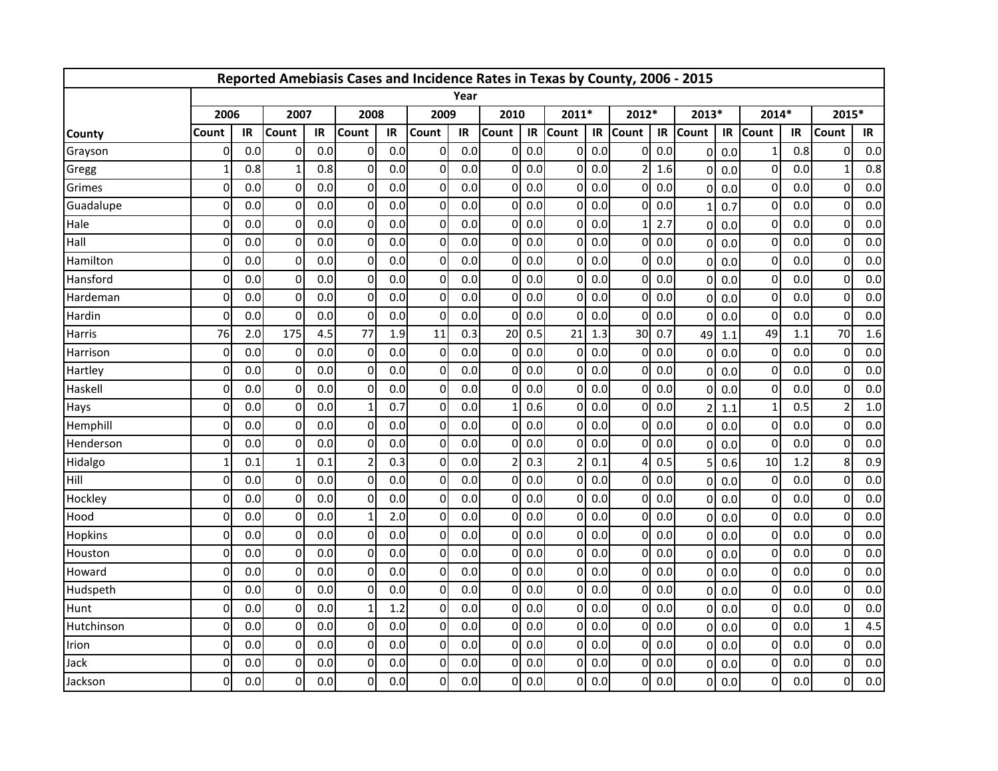|               |              |     |             |     | Reported Amebiasis Cases and Incidence Rates in Texas by County, 2006 - 2015 |     |                  |      |              |     |          |     |              |     |                |     |                  |     |                |     |
|---------------|--------------|-----|-------------|-----|------------------------------------------------------------------------------|-----|------------------|------|--------------|-----|----------|-----|--------------|-----|----------------|-----|------------------|-----|----------------|-----|
|               |              |     |             |     |                                                                              |     |                  | Year |              |     |          |     |              |     |                |     |                  |     |                |     |
|               | 2006         |     | 2007        |     | 2008                                                                         |     | 2009             |      | 2010         |     | 2011*    |     | 2012*        |     | 2013*          |     | 2014*            |     | 2015*          |     |
| <b>County</b> | Count        | IR  | Count       | IR  | Count                                                                        | IR  | <b>Count</b>     | IR   | <b>Count</b> | IR  | Count    | IR  | <b>Count</b> | IR  | <b>Count</b>   | IR  | <b>Count</b>     | IR  | Count          | IR  |
| Grayson       | 0            | 0.0 | 0           | 0.0 | $\overline{0}$                                                               | 0.0 | $\boldsymbol{0}$ | 0.0  | $\Omega$     | 0.0 | $\Omega$ | 0.0 | $\mathbf{0}$ | 0.0 | $\mathbf 0$    | 0.0 | 1                | 0.8 | 0              | 0.0 |
| Gregg         | $\mathbf{1}$ | 0.8 | 1           | 0.8 | $\Omega$                                                                     | 0.0 | $\Omega$         | 0.0  | $\Omega$     | 0.0 | 0        | 0.0 | 2            | 1.6 | $\Omega$       | 0.0 | $\mathbf 0$      | 0.0 |                | 0.8 |
| Grimes        | $\mathbf{0}$ | 0.0 | 0           | 0.0 | $\Omega$                                                                     | 0.0 | $\mathbf 0$      | 0.0  | 0            | 0.0 | $\Omega$ | 0.0 | $\Omega$     | 0.0 | $\Omega$       | 0.0 | $\mathbf 0$      | 0.0 | $\Omega$       | 0.0 |
| Guadalupe     | $\mathbf 0$  | 0.0 | $\mathbf 0$ | 0.0 | $\Omega$                                                                     | 0.0 | $\mathbf 0$      | 0.0  | $\Omega$     | 0.0 | $\Omega$ | 0.0 | $\Omega$     | 0.0 | $\mathbf{1}$   | 0.7 | $\pmb{0}$        | 0.0 | $\Omega$       | 0.0 |
| Hale          | $\Omega$     | 0.0 | $\mathbf 0$ | 0.0 | $\Omega$                                                                     | 0.0 | $\mathbf 0$      | 0.0  | $\Omega$     | 0.0 | $\Omega$ | 0.0 | $\mathbf{1}$ | 2.7 | $\mathbf 0$    | 0.0 | $\mathbf 0$      | 0.0 | $\overline{0}$ | 0.0 |
| Hall          | $\Omega$     | 0.0 | $\mathbf 0$ | 0.0 | $\overline{0}$                                                               | 0.0 | $\overline{0}$   | 0.0  | $\Omega$     | 0.0 | $\Omega$ | 0.0 | 0            | 0.0 | $\Omega$       | 0.0 | $\pmb{0}$        | 0.0 | 0              | 0.0 |
| Hamilton      | $\Omega$     | 0.0 | $\Omega$    | 0.0 | $\Omega$                                                                     | 0.0 | $\mathbf 0$      | 0.0  | $\Omega$     | 0.0 | 0        | 0.0 | $\Omega$     | 0.0 | $\Omega$       | 0.0 | $\mathbf 0$      | 0.0 | 0              | 0.0 |
| Hansford      | $\Omega$     | 0.0 | 0           | 0.0 | $\Omega$                                                                     | 0.0 | $\mathbf 0$      | 0.0  | ΩI           | 0.0 | $\Omega$ | 0.0 | $\Omega$     | 0.0 | $\Omega$       | 0.0 | $\mathbf 0$      | 0.0 | $\Omega$       | 0.0 |
| Hardeman      | $\Omega$     | 0.0 | $\Omega$    | 0.0 | $\Omega$                                                                     | 0.0 | $\Omega$         | 0.0  | $\Omega$     | 0.0 | $\Omega$ | 0.0 | $\Omega$     | 0.0 | $\Omega$       | 0.0 | $\pmb{0}$        | 0.0 | $\Omega$       | 0.0 |
| Hardin        | $\Omega$     | 0.0 | $\Omega$    | 0.0 | $\Omega$                                                                     | 0.0 | $\mathbf 0$      | 0.0  | $\Omega$     | 0.0 | $\Omega$ | 0.0 | $\Omega$     | 0.0 | $\Omega$       | 0.0 | $\mathbf 0$      | 0.0 | $\Omega$       | 0.0 |
| Harris        | 76           | 2.0 | 175         | 4.5 | 77                                                                           | 1.9 | 11               | 0.3  | 20           | 0.5 | 21       | 1.3 | 30           | 0.7 | 49             | 1.1 | 49               | 1.1 | 70             | 1.6 |
| Harrison      | $\Omega$     | 0.0 | 0           | 0.0 | $\Omega$                                                                     | 0.0 | $\overline{0}$   | 0.0  | $\Omega$     | 0.0 | 0        | 0.0 | $\Omega$     | 0.0 | $\Omega$       | 0.0 | $\mathbf 0$      | 0.0 | 0              | 0.0 |
| Hartley       | $\Omega$     | 0.0 | 0           | 0.0 | $\Omega$                                                                     | 0.0 | $\mathbf 0$      | 0.0  | U            | 0.0 | $\Omega$ | 0.0 | $\Omega$     | 0.0 | $\Omega$       | 0.0 | $\mathbf 0$      | 0.0 | $\Omega$       | 0.0 |
| Haskell       | $\Omega$     | 0.0 | $\mathbf 0$ | 0.0 | $\Omega$                                                                     | 0.0 | $\mathbf 0$      | 0.0  | 0            | 0.0 | $\Omega$ | 0.0 | $\Omega$     | 0.0 | $\mathbf 0$    | 0.0 | $\mathbf 0$      | 0.0 | $\Omega$       | 0.0 |
| Hays          | $\Omega$     | 0.0 | $\mathbf 0$ | 0.0 | $\mathbf{1}$                                                                 | 0.7 | $\mathbf 0$      | 0.0  |              | 0.6 | $\Omega$ | 0.0 | $\Omega$     | 0.0 | $\overline{2}$ | 1.1 | $\mathbf 1$      | 0.5 | $\overline{2}$ | 1.0 |
| Hemphill      | $\Omega$     | 0.0 | $\Omega$    | 0.0 | $\Omega$                                                                     | 0.0 | $\overline{0}$   | 0.0  | $\Omega$     | 0.0 | $\Omega$ | 0.0 | $\Omega$     | 0.0 | $\Omega$       | 0.0 | $\boldsymbol{0}$ | 0.0 | $\mathbf{0}$   | 0.0 |
| Henderson     | $\Omega$     | 0.0 | $\mathbf 0$ | 0.0 | $\Omega$                                                                     | 0.0 | $\mathbf 0$      | 0.0  | $\Omega$     | 0.0 | $\Omega$ | 0.0 | $\Omega$     | 0.0 | $\Omega$       | 0.0 | $\mathbf 0$      | 0.0 | $\Omega$       | 0.0 |
| Hidalgo       | $\mathbf{1}$ | 0.1 | 1           | 0.1 | $\overline{2}$                                                               | 0.3 | $\mathbf 0$      | 0.0  | 2            | 0.3 |          | 0.1 | Δ            | 0.5 | 5              | 0.6 | 10               | 1.2 | 8              | 0.9 |
| Hill          | $\Omega$     | 0.0 | $\Omega$    | 0.0 | $\Omega$                                                                     | 0.0 | $\Omega$         | 0.0  | $\Omega$     | 0.0 | $\Omega$ | 0.0 | $\Omega$     | 0.0 | $\Omega$       | 0.0 | $\mathbf 0$      | 0.0 | $\Omega$       | 0.0 |
| Hockley       | $\Omega$     | 0.0 | $\Omega$    | 0.0 | $\Omega$                                                                     | 0.0 | $\mathbf 0$      | 0.0  | $\Omega$     | 0.0 | $\Omega$ | 0.0 | $\mathbf{0}$ | 0.0 | $\mathbf 0$    | 0.0 | $\mathbf 0$      | 0.0 | $\overline{0}$ | 0.0 |
| Hood          | $\Omega$     | 0.0 | $\mathbf 0$ | 0.0 |                                                                              | 2.0 | $\overline{0}$   | 0.0  | $\Omega$     | 0.0 | $\Omega$ | 0.0 | $\Omega$     | 0.0 | $\Omega$       | 0.0 | $\mathbf 0$      | 0.0 | $\mathbf{0}$   | 0.0 |
| Hopkins       | $\Omega$     | 0.0 | $\mathbf 0$ | 0.0 | $\Omega$                                                                     | 0.0 | $\mathbf 0$      | 0.0  | ΩI           | 0.0 | $\Omega$ | 0.0 | $\mathbf{0}$ | 0.0 | $\Omega$       | 0.0 | $\pmb{0}$        | 0.0 | $\Omega$       | 0.0 |
| Houston       | $\Omega$     | 0.0 | $\Omega$    | 0.0 | $\Omega$                                                                     | 0.0 | $\mathbf 0$      | 0.0  | O            | 0.0 | $\Omega$ | 0.0 | $\Omega$     | 0.0 | $\Omega$       | 0.0 | $\pmb{0}$        | 0.0 | $\Omega$       | 0.0 |
| Howard        | $\mathbf 0$  | 0.0 | $\mathbf 0$ | 0.0 | $\Omega$                                                                     | 0.0 | $\mathbf 0$      | 0.0  | ΩI           | 0.0 | $\Omega$ | 0.0 | $\Omega$     | 0.0 | $\overline{0}$ | 0.0 | $\boldsymbol{0}$ | 0.0 | $\overline{0}$ | 0.0 |
| Hudspeth      | $\mathbf 0$  | 0.0 | $\mathbf 0$ | 0.0 | $\Omega$                                                                     | 0.0 | $\mathbf 0$      | 0.0  | $\Omega$     | 0.0 | ΩI       | 0.0 | $\Omega$     | 0.0 | $\mathbf 0$    | 0.0 | $\overline{0}$   | 0.0 | $\Omega$       | 0.0 |
| Hunt          | $\mathbf{0}$ | 0.0 | $\mathbf 0$ | 0.0 |                                                                              | 1.2 | $\overline{0}$   | 0.0  | $\Omega$     | 0.0 | $\Omega$ | 0.0 | 0            | 0.0 | $\Omega$       | 0.0 | $\mathbf 0$      | 0.0 | $\overline{0}$ | 0.0 |
| Hutchinson    | $\Omega$     | 0.0 | $\mathbf 0$ | 0.0 | $\Omega$                                                                     | 0.0 | $\mathbf 0$      | 0.0  | $\Omega$     | 0.0 | $\Omega$ | 0.0 | $\Omega$     | 0.0 | $\Omega$       | 0.0 | $\pmb{0}$        | 0.0 |                | 4.5 |
| Irion         | $\Omega$     | 0.0 | $\Omega$    | 0.0 | $\Omega$                                                                     | 0.0 | $\mathbf 0$      | 0.0  | $\Omega$     | 0.0 | $\Omega$ | 0.0 | $\Omega$     | 0.0 | $\Omega$       | 0.0 | $\mathbf 0$      | 0.0 | $\mathbf{0}$   | 0.0 |
| Jack          | $\mathbf 0$  | 0.0 | $\Omega$    | 0.0 | $\Omega$                                                                     | 0.0 | $\mathbf 0$      | 0.0  | $\Omega$     | 0.0 | $\Omega$ | 0.0 | $\mathbf{0}$ | 0.0 | $\Omega$       | 0.0 | $\pmb{0}$        | 0.0 | $\mathbf{0}$   | 0.0 |
| Jackson       | $\Omega$     | 0.0 | 0           | 0.0 | $\Omega$                                                                     | 0.0 | $\Omega$         | 0.0  | $\Omega$     | 0.0 | $\Omega$ | 0.0 | Οl           | 0.0 | $\overline{0}$ | 0.0 | $\Omega$         | 0.0 | $\Omega$       | 0.0 |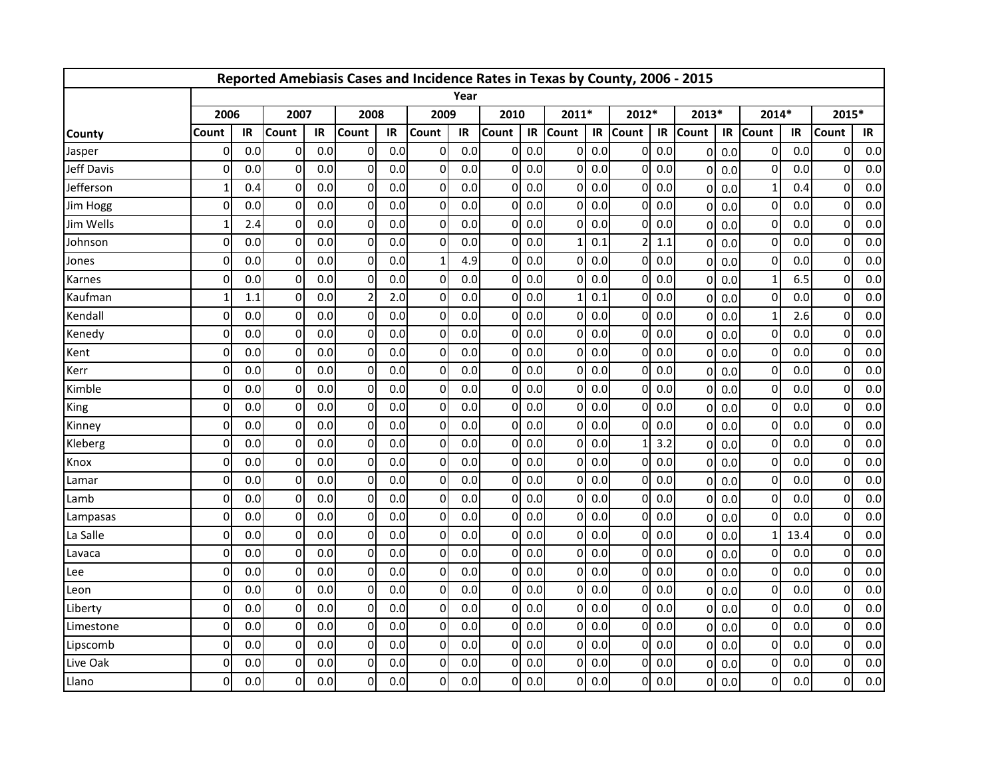|                   |              |     |                |     | Reported Amebiasis Cases and Incidence Rates in Texas by County, 2006 - 2015 |     |                |      |              |     |              |     |              |     |                |     |                |      |              |     |
|-------------------|--------------|-----|----------------|-----|------------------------------------------------------------------------------|-----|----------------|------|--------------|-----|--------------|-----|--------------|-----|----------------|-----|----------------|------|--------------|-----|
|                   |              |     |                |     |                                                                              |     |                | Year |              |     |              |     |              |     |                |     |                |      |              |     |
|                   | 2006         |     | 2007           |     | 2008                                                                         |     | 2009           |      | 2010         |     | 2011*        |     | 2012*        |     | 2013*          |     | 2014*          |      | 2015*        |     |
| <b>County</b>     | Count        | IR  | Count          | IR  | Count                                                                        | IR  | Count          | IR   | <b>Count</b> | IR  | <b>Count</b> | IR  | <b>Count</b> | IR  | <b>Count</b>   | IR  | <b>Count</b>   | IR   | Count        | IR  |
| Jasper            | 0            | 0.0 | $\overline{0}$ | 0.0 | $\Omega$                                                                     | 0.0 | $\overline{0}$ | 0.0  | 0            | 0.0 | $\Omega$     | 0.0 | $\Omega$     | 0.0 | $\mathbf 0$    | 0.0 | 0              | 0.0  | 0            | 0.0 |
| <b>Jeff Davis</b> | $\Omega$     | 0.0 | 0              | 0.0 | 0                                                                            | 0.0 | $\overline{0}$ | 0.0  | 0            | 0.0 | $\Omega$     | 0.0 | $\Omega$     | 0.0 | $\mathbf{0}$   | 0.0 | $\mathbf 0$    | 0.0  | $\mathbf 0$  | 0.0 |
| Jefferson         |              | 0.4 | $\Omega$       | 0.0 | $\Omega$                                                                     | 0.0 | $\overline{0}$ | 0.0  | 0            | 0.0 | $\Omega$     | 0.0 | 0            | 0.0 | $\Omega$       | 0.0 | $\mathbf{1}$   | 0.4  | $\Omega$     | 0.0 |
| Jim Hogg          | $\mathbf{0}$ | 0.0 | $\mathbf 0$    | 0.0 | $\Omega$                                                                     | 0.0 | $\overline{0}$ | 0.0  | 0            | 0.0 | $\Omega$     | 0.0 | $\Omega$     | 0.0 | $\mathbf{0}$   | 0.0 | $\mathbf 0$    | 0.0  | $\Omega$     | 0.0 |
| Jim Wells         | 1            | 2.4 | $\Omega$       | 0.0 | $\Omega$                                                                     | 0.0 | $\overline{0}$ | 0.0  | 0            | 0.0 | $\Omega$     | 0.0 | $\Omega$     | 0.0 | $\mathbf 0$    | 0.0 | $\mathbf 0$    | 0.0  | $\Omega$     | 0.0 |
| Johnson           | 0            | 0.0 | $\overline{0}$ | 0.0 | $\Omega$                                                                     | 0.0 | $\overline{0}$ | 0.0  | 0            | 0.0 |              | 0.1 |              | 1.1 | $\mathbf{0}$   | 0.0 | $\mathbf 0$    | 0.0  | $\Omega$     | 0.0 |
| Jones             | $\Omega$     | 0.0 | $\mathbf 0$    | 0.0 | $\Omega$                                                                     | 0.0 | $\mathbf{1}$   | 4.9  | 0            | 0.0 | $\Omega$     | 0.0 | $\Omega$     | 0.0 | $\Omega$       | 0.0 | $\mathbf 0$    | 0.0  | 0            | 0.0 |
| Karnes            | 0            | 0.0 | $\mathbf{0}$   | 0.0 | $\Omega$                                                                     | 0.0 | $\overline{0}$ | 0.0  | 0            | 0.0 | $\Omega$     | 0.0 | $\Omega$     | 0.0 | $\Omega$       | 0.0 | $\mathbf{1}$   | 6.5  | $\Omega$     | 0.0 |
| Kaufman           |              | 1.1 | $\mathbf{0}$   | 0.0 |                                                                              | 2.0 | $\overline{0}$ | 0.0  | 0            | 0.0 |              | 0.1 | $\Omega$     | 0.0 | $\mathbf{0}$   | 0.0 | $\mathbf 0$    | 0.0  | $\mathbf{0}$ | 0.0 |
| Kendall           | $\Omega$     | 0.0 | $\Omega$       | 0.0 | 0                                                                            | 0.0 | $\overline{0}$ | 0.0  | 0            | 0.0 | $\Omega$     | 0.0 | ΩI           | 0.0 | $\mathbf 0$    | 0.0 | $\mathbf{1}$   | 2.6  | $\Omega$     | 0.0 |
| Kenedy            | $\mathbf{0}$ | 0.0 | $\Omega$       | 0.0 | 0                                                                            | 0.0 | $\overline{0}$ | 0.0  | 0            | 0.0 | $\mathbf{0}$ | 0.0 | Οl           | 0.0 | $\Omega$       | 0.0 | $\mathbf 0$    | 0.0  | $\Omega$     | 0.0 |
| Kent              | $\Omega$     | 0.0 | $\mathbf 0$    | 0.0 | $\Omega$                                                                     | 0.0 | $\overline{0}$ | 0.0  | 0            | 0.0 | $\Omega$     | 0.0 | $\Omega$     | 0.0 | $\mathbf 0$    | 0.0 | $\mathbf 0$    | 0.0  | 0            | 0.0 |
| Kerr              | $\Omega$     | 0.0 | $\Omega$       | 0.0 | $\Omega$                                                                     | 0.0 | $\overline{0}$ | 0.0  | 0            | 0.0 | $\Omega$     | 0.0 | $\Omega$     | 0.0 | $\Omega$       | 0.0 | $\mathbf 0$    | 0.0  | $\Omega$     | 0.0 |
| Kimble            | 0            | 0.0 | $\mathbf 0$    | 0.0 | $\Omega$                                                                     | 0.0 | $\overline{0}$ | 0.0  | 0            | 0.0 | $\Omega$     | 0.0 | $\Omega$     | 0.0 | $\mathbf 0$    | 0.0 | $\mathbf 0$    | 0.0  | $\Omega$     | 0.0 |
| King              | $\Omega$     | 0.0 | $\Omega$       | 0.0 | $\Omega$                                                                     | 0.0 | $\overline{0}$ | 0.0  | 0            | 0.0 | $\Omega$     | 0.0 | ΩI           | 0.0 | $\mathbf 0$    | 0.0 | $\mathbf{0}$   | 0.0  | $\Omega$     | 0.0 |
| Kinney            | $\mathbf{0}$ | 0.0 | $\overline{0}$ | 0.0 | 0                                                                            | 0.0 | $\overline{0}$ | 0.0  | 0            | 0.0 | $\Omega$     | 0.0 | Οl           | 0.0 | $\Omega$       | 0.0 | $\mathbf 0$    | 0.0  | $\mathbf 0$  | 0.0 |
| Kleberg           | $\Omega$     | 0.0 | $\mathbf 0$    | 0.0 | $\Omega$                                                                     | 0.0 | $\overline{0}$ | 0.0  | 0            | 0.0 | $\Omega$     | 0.0 |              | 3.2 | $\Omega$       | 0.0 | 0              | 0.0  | $\mathbf 0$  | 0.0 |
| Knox              | $\Omega$     | 0.0 | $\Omega$       | 0.0 | $\Omega$                                                                     | 0.0 | $\overline{0}$ | 0.0  | 0            | 0.0 | $\Omega$     | 0.0 | $\Omega$     | 0.0 | $\Omega$       | 0.0 | $\mathbf 0$    | 0.0  | $\Omega$     | 0.0 |
| Lamar             | $\mathbf{0}$ | 0.0 | $\mathbf{0}$   | 0.0 | $\Omega$                                                                     | 0.0 | $\overline{0}$ | 0.0  | 0            | 0.0 | $\Omega$     | 0.0 | $\Omega$     | 0.0 | $\mathbf{0}$   | 0.0 | $\mathbf 0$    | 0.0  | $\Omega$     | 0.0 |
| Lamb              | $\Omega$     | 0.0 | $\Omega$       | 0.0 | $\Omega$                                                                     | 0.0 | $\overline{0}$ | 0.0  | 0            | 0.0 | $\Omega$     | 0.0 | ΩI           | 0.0 | $\overline{0}$ | 0.0 | $\mathbf{0}$   | 0.0  | $\Omega$     | 0.0 |
| Lampasas          | $\mathbf{0}$ | 0.0 | 0              | 0.0 | $\Omega$                                                                     | 0.0 | $\overline{0}$ | 0.0  | 0            | 0.0 | $\Omega$     | 0.0 | $\Omega$     | 0.0 | $\Omega$       | 0.0 | $\mathbf 0$    | 0.0  | $\Omega$     | 0.0 |
| La Salle          | $\Omega$     | 0.0 | $\mathbf 0$    | 0.0 | $\Omega$                                                                     | 0.0 | $\overline{0}$ | 0.0  | 0            | 0.0 | $\Omega$     | 0.0 | $\Omega$     | 0.0 | $\Omega$       | 0.0 | $\mathbf{1}$   | 13.4 | $\mathbf 0$  | 0.0 |
| Lavaca            | $\Omega$     | 0.0 | 0              | 0.0 | $\Omega$                                                                     | 0.0 | $\overline{0}$ | 0.0  | 0            | 0.0 | $\Omega$     | 0.0 | $\Omega$     | 0.0 | $\mathbf{0}$   | 0.0 | $\mathbf 0$    | 0.0  | $\Omega$     | 0.0 |
| Lee               | 0            | 0.0 | $\overline{0}$ | 0.0 | $\Omega$                                                                     | 0.0 | $\overline{0}$ | 0.0  | 0            | 0.0 | $\Omega$     | 0.0 | $\Omega$     | 0.0 | $\mathbf{0}$   | 0.0 | $\mathbf 0$    | 0.0  | $\Omega$     | 0.0 |
| Leon              | 0            | 0.0 | $\Omega$       | 0.0 | $\Omega$                                                                     | 0.0 | $\overline{0}$ | 0.0  | 0            | 0.0 | $\Omega$     | 0.0 | $\Omega$     | 0.0 | $\mathbf 0$    | 0.0 | $\overline{0}$ | 0.0  | $\mathbf 0$  | 0.0 |
| Liberty           | $\mathbf{0}$ | 0.0 | 0              | 0.0 | $\Omega$                                                                     | 0.0 | $\overline{0}$ | 0.0  | 0            | 0.0 | $\Omega$     | 0.0 | $\Omega$     | 0.0 | $\Omega$       | 0.0 | $\mathbf 0$    | 0.0  | $\Omega$     | 0.0 |
| Limestone         | $\mathbf{0}$ | 0.0 | $\mathbf 0$    | 0.0 | $\Omega$                                                                     | 0.0 | $\overline{0}$ | 0.0  | 0            | 0.0 | $\Omega$     | 0.0 | $\Omega$     | 0.0 | $\Omega$       | 0.0 | 0              | 0.0  | 0            | 0.0 |
| Lipscomb          | $\Omega$     | 0.0 | $\Omega$       | 0.0 | $\Omega$                                                                     | 0.0 | $\overline{0}$ | 0.0  | 0            | 0.0 | $\Omega$     | 0.0 | $\Omega$     | 0.0 | $\Omega$       | 0.0 | $\Omega$       | 0.0  | $\Omega$     | 0.0 |
| Live Oak          | 0            | 0.0 | 0              | 0.0 | 0                                                                            | 0.0 | $\overline{0}$ | 0.0  | 0            | 0.0 | O            | 0.0 | $\Omega$     | 0.0 | $\mathbf{0}$   | 0.0 | $\mathbf 0$    | 0.0  | $\Omega$     | 0.0 |
| Llano             | O            | 0.0 | $\Omega$       | 0.0 | 0                                                                            | 0.0 | $\overline{0}$ | 0.0  | 0            | 0.0 | $\Omega$     | 0.0 | 0I           | 0.0 | $\overline{0}$ | 0.0 | $\overline{0}$ | 0.0  | 0            | 0.0 |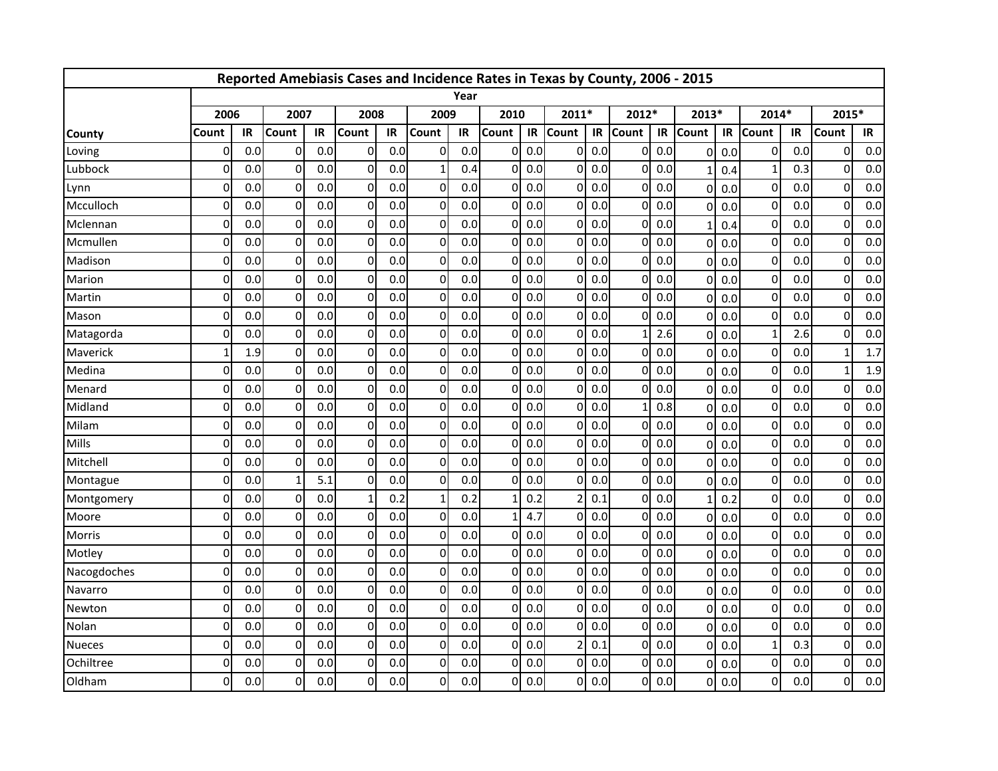|               |              |     |                |     | Reported Amebiasis Cases and Incidence Rates in Texas by County, 2006 - 2015 |     |                |      |              |     |              |     |          |     |                |     |                |     |          |     |
|---------------|--------------|-----|----------------|-----|------------------------------------------------------------------------------|-----|----------------|------|--------------|-----|--------------|-----|----------|-----|----------------|-----|----------------|-----|----------|-----|
|               |              |     |                |     |                                                                              |     |                | Year |              |     |              |     |          |     |                |     |                |     |          |     |
|               | 2006         |     | 2007           |     | 2008                                                                         |     | 2009           |      | 2010         |     | 2011*        |     | 2012*    |     | 2013*          |     | 2014*          |     | 2015*    |     |
| <b>County</b> | Count        | IR  | Count          | IR  | Count                                                                        | IR  | Count          | IR   | <b>Count</b> | IR  | <b>Count</b> | IR  | Count    | IR  | <b>Count</b>   | IR  | <b>Count</b>   | IR  | Count    | IR  |
| Loving        | 0            | 0.0 | $\overline{0}$ | 0.0 | 0                                                                            | 0.0 | $\overline{0}$ | 0.0  | 0            | 0.0 | $\Omega$     | 0.0 | $\Omega$ | 0.0 | $\mathbf 0$    | 0.0 | 0              | 0.0 | 0        | 0.0 |
| Lubbock       | $\Omega$     | 0.0 | $\Omega$       | 0.0 | 0                                                                            | 0.0 | $\mathbf{1}$   | 0.4  | 0            | 0.0 | $\Omega$     | 0.0 | $\Omega$ | 0.0 | $\mathbf{1}$   | 0.4 | $\mathbf{1}$   | 0.3 | $\Omega$ | 0.0 |
| Lynn          | Ω            | 0.0 | 0              | 0.0 | $\Omega$                                                                     | 0.0 | $\overline{0}$ | 0.0  | 0            | 0.0 | 0            | 0.0 | 0        | 0.0 | $\mathbf{0}$   | 0.0 | $\mathbf 0$    | 0.0 | $\Omega$ | 0.0 |
| Mcculloch     | $\Omega$     | 0.0 | $\mathbf 0$    | 0.0 | $\Omega$                                                                     | 0.0 | $\overline{0}$ | 0.0  | 0            | 0.0 | $\Omega$     | 0.0 | $\Omega$ | 0.0 | $\Omega$       | 0.0 | $\mathbf 0$    | 0.0 | $\Omega$ | 0.0 |
| Mclennan      | $\mathbf{0}$ | 0.0 | $\Omega$       | 0.0 | $\Omega$                                                                     | 0.0 | $\overline{0}$ | 0.0  | 0            | 0.0 | $\mathbf{0}$ | 0.0 | $\Omega$ | 0.0 | $\mathbf{1}$   | 0.4 | $\mathbf 0$    | 0.0 | $\Omega$ | 0.0 |
| Mcmullen      | 0            | 0.0 | $\overline{0}$ | 0.0 | 0                                                                            | 0.0 | $\overline{0}$ | 0.0  | 0            | 0.0 | $\Omega$     | 0.0 | Οl       | 0.0 | $\mathbf{0}$   | 0.0 | $\mathbf 0$    | 0.0 | $\Omega$ | 0.0 |
| Madison       | $\Omega$     | 0.0 | $\Omega$       | 0.0 | 0                                                                            | 0.0 | $\overline{0}$ | 0.0  | 0            | 0.0 | $\Omega$     | 0.0 | $\Omega$ | 0.0 | $\Omega$       | 0.0 | $\mathbf{0}$   | 0.0 | $\Omega$ | 0.0 |
| Marion        | 0            | 0.0 | $\Omega$       | 0.0 | $\Omega$                                                                     | 0.0 | $\overline{0}$ | 0.0  | 0            | 0.0 | $\Omega$     | 0.0 | $\Omega$ | 0.0 | $\mathbf{0}$   | 0.0 | $\mathbf 0$    | 0.0 | $\Omega$ | 0.0 |
| Martin        | $\Omega$     | 0.0 | $\Omega$       | 0.0 | $\Omega$                                                                     | 0.0 | $\Omega$       | 0.0  | O            | 0.0 | $\Omega$     | 0.0 | $\Omega$ | 0.0 | $\mathbf{0}$   | 0.0 | $\Omega$       | 0.0 | $\Omega$ | 0.0 |
| Mason         | $\Omega$     | 0.0 | $\Omega$       | 0.0 | 0                                                                            | 0.0 | $\overline{0}$ | 0.0  | 0            | 0.0 | $\Omega$     | 0.0 | $\Omega$ | 0.0 | $\mathbf 0$    | 0.0 | $\Omega$       | 0.0 | $\Omega$ | 0.0 |
| Matagorda     | $\Omega$     | 0.0 | $\overline{0}$ | 0.0 | 0                                                                            | 0.0 | $\overline{0}$ | 0.0  | $\Omega$     | 0.0 | $\Omega$     | 0.0 |          | 2.6 | $\mathbf{0}$   | 0.0 | $\mathbf{1}$   | 2.6 | $\Omega$ | 0.0 |
| Maverick      | 1            | 1.9 | 0              | 0.0 | 0                                                                            | 0.0 | $\overline{0}$ | 0.0  | 0            | 0.0 | $\Omega$     | 0.0 | $\Omega$ | 0.0 | $\Omega$       | 0.0 | $\mathbf 0$    | 0.0 | 1        | 1.7 |
| Medina        | 0            | 0.0 | 0              | 0.0 | $\Omega$                                                                     | 0.0 | $\overline{0}$ | 0.0  | U            | 0.0 | $\Omega$     | 0.0 | $\Omega$ | 0.0 | $\Omega$       | 0.0 | $\mathbf 0$    | 0.0 | 1        | 1.9 |
| Menard        | $\Omega$     | 0.0 | $\Omega$       | 0.0 | $\Omega$                                                                     | 0.0 | $\overline{0}$ | 0.0  | 0            | 0.0 | $\Omega$     | 0.0 | $\Omega$ | 0.0 | $\mathbf 0$    | 0.0 | $\mathbf 0$    | 0.0 | $\Omega$ | 0.0 |
| Midland       | $\Omega$     | 0.0 | $\Omega$       | 0.0 | $\Omega$                                                                     | 0.0 | $\overline{0}$ | 0.0  | 0            | 0.0 | $\Omega$     | 0.0 |          | 0.8 | $\mathbf{0}$   | 0.0 | $\mathbf 0$    | 0.0 | $\Omega$ | 0.0 |
| Milam         | $\Omega$     | 0.0 | $\Omega$       | 0.0 | $\Omega$                                                                     | 0.0 | $\Omega$       | 0.0  | 0            | 0.0 | $\Omega$     | 0.0 | ΩI       | 0.0 | $\Omega$       | 0.0 | 0              | 0.0 | $\Omega$ | 0.0 |
| Mills         | $\mathbf{0}$ | 0.0 | $\mathbf{0}$   | 0.0 | 0                                                                            | 0.0 | $\overline{0}$ | 0.0  | 0            | 0.0 | $\Omega$     | 0.0 | $\Omega$ | 0.0 | $\Omega$       | 0.0 | $\mathbf 0$    | 0.0 | $\Omega$ | 0.0 |
| Mitchell      | O            | 0.0 | $\Omega$       | 0.0 | $\Omega$                                                                     | 0.0 | $\overline{0}$ | 0.0  | U            | 0.0 | $\Omega$     | 0.0 | $\Omega$ | 0.0 | $\Omega$       | 0.0 | $\mathbf 0$    | 0.0 | $\Omega$ | 0.0 |
| Montague      | $\Omega$     | 0.0 | 1              | 5.1 | $\Omega$                                                                     | 0.0 | $\Omega$       | 0.0  | 0            | 0.0 | $\Omega$     | 0.0 | $\Omega$ | 0.0 | $\Omega$       | 0.0 | $\mathbf 0$    | 0.0 | $\Omega$ | 0.0 |
| Montgomery    | 0            | 0.0 | $\Omega$       | 0.0 |                                                                              | 0.2 | $\mathbf{1}$   | 0.2  |              | 0.2 |              | 0.1 | Οl       | 0.0 | $\mathbf{1}$   | 0.2 | $\mathbf 0$    | 0.0 | $\Omega$ | 0.0 |
| Moore         | 0            | 0.0 | $\mathbf 0$    | 0.0 | 0                                                                            | 0.0 | $\overline{0}$ | 0.0  | 1            | 4.7 | $\Omega$     | 0.0 | $\Omega$ | 0.0 | $\mathbf 0$    | 0.0 | $\mathbf 0$    | 0.0 | $\Omega$ | 0.0 |
| <b>Morris</b> | $\Omega$     | 0.0 | 0              | 0.0 | $\Omega$                                                                     | 0.0 | $\overline{0}$ | 0.0  | 0            | 0.0 | $\Omega$     | 0.0 | $\Omega$ | 0.0 | $\mathbf{0}$   | 0.0 | $\mathbf 0$    | 0.0 | $\Omega$ | 0.0 |
| Motley        | $\Omega$     | 0.0 | $\Omega$       | 0.0 | $\Omega$                                                                     | 0.0 | $\overline{0}$ | 0.0  | 0            | 0.0 | $\Omega$     | 0.0 | $\Omega$ | 0.0 | $\mathbf{0}$   | 0.0 | $\mathbf{0}$   | 0.0 | $\Omega$ | 0.0 |
| Nacogdoches   | $\mathbf{0}$ | 0.0 | 0              | 0.0 | 0                                                                            | 0.0 | $\overline{0}$ | 0.0  | 0            | 0.0 | O            | 0.0 | $\Omega$ | 0.0 | $\mathbf 0$    | 0.0 | $\mathbf 0$    | 0.0 | $\Omega$ | 0.0 |
| Navarro       | $\Omega$     | 0.0 | $\overline{0}$ | 0.0 | 0                                                                            | 0.0 | $\overline{0}$ | 0.0  | 0            | 0.0 | $\Omega$     | 0.0 | $\Omega$ | 0.0 | $\mathbf 0$    | 0.0 | $\mathbf 0$    | 0.0 | $\Omega$ | 0.0 |
| Newton        | $\Omega$     | 0.0 | $\overline{0}$ | 0.0 | 0                                                                            | 0.0 | $\overline{0}$ | 0.0  | 0            | 0.0 | $\Omega$     | 0.0 | Οl       | 0.0 | $\Omega$       | 0.0 | $\mathbf 0$    | 0.0 | $\Omega$ | 0.0 |
| Nolan         | $\mathbf{0}$ | 0.0 | $\mathbf 0$    | 0.0 | $\Omega$                                                                     | 0.0 | $\overline{0}$ | 0.0  | 0            | 0.0 | $\Omega$     | 0.0 | $\Omega$ | 0.0 | $\Omega$       | 0.0 | $\mathbf 0$    | 0.0 | $\Omega$ | 0.0 |
| <b>Nueces</b> | $\Omega$     | 0.0 | $\Omega$       | 0.0 | $\Omega$                                                                     | 0.0 | $\overline{0}$ | 0.0  | 0            | 0.0 |              | 0.1 | $\Omega$ | 0.0 | $\Omega$       | 0.0 | $\mathbf{1}$   | 0.3 | $\Omega$ | 0.0 |
| Ochiltree     | 0            | 0.0 | $\Omega$       | 0.0 | 0                                                                            | 0.0 | $\overline{0}$ | 0.0  | 0            | 0.0 | $\Omega$     | 0.0 | $\Omega$ | 0.0 | $\overline{0}$ | 0.0 | $\mathbf 0$    | 0.0 | $\Omega$ | 0.0 |
| Oldham        | 0            | 0.0 | $\Omega$       | 0.0 | $\Omega$                                                                     | 0.0 | $\Omega$       | 0.0  | 0            | 0.0 | $\Omega$     | 0.0 | 0I       | 0.0 | $\overline{0}$ | 0.0 | $\overline{0}$ | 0.0 | $\Omega$ | 0.0 |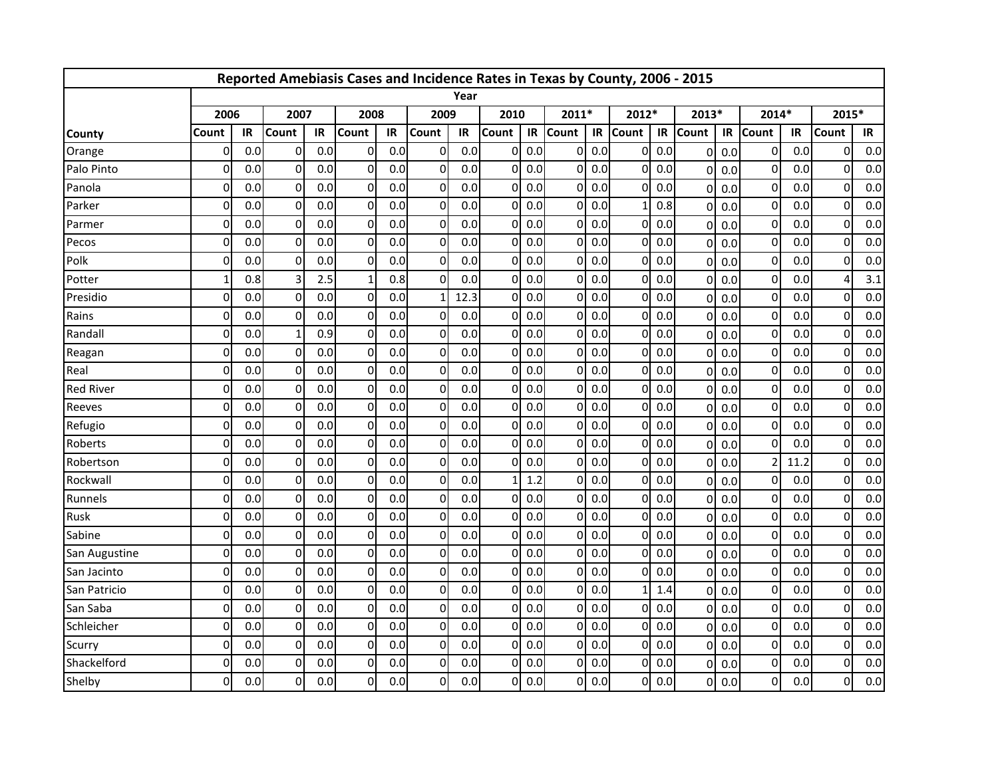|                  |              |     |                |     | Reported Amebiasis Cases and Incidence Rates in Texas by County, 2006 - 2015 |     |                |      |              |     |              |     |              |     |                |     |                |      |              |     |
|------------------|--------------|-----|----------------|-----|------------------------------------------------------------------------------|-----|----------------|------|--------------|-----|--------------|-----|--------------|-----|----------------|-----|----------------|------|--------------|-----|
|                  |              |     |                |     |                                                                              |     |                | Year |              |     |              |     |              |     |                |     |                |      |              |     |
|                  | 2006         |     | 2007           |     | 2008                                                                         |     | 2009           |      | 2010         |     | 2011*        |     | 2012*        |     | 2013*          |     | 2014*          |      | 2015*        |     |
| <b>County</b>    | Count        | IR  | Count          | IR  | Count                                                                        | IR  | Count          | IR   | <b>Count</b> | IR  | <b>Count</b> | IR  | <b>Count</b> | IR  | <b>Count</b>   | IR  | <b>Count</b>   | IR   | Count        | IR  |
| Orange           | 0            | 0.0 | $\overline{0}$ | 0.0 | 0                                                                            | 0.0 | $\overline{0}$ | 0.0  | 0            | 0.0 | $\Omega$     | 0.0 | $\Omega$     | 0.0 | $\mathbf 0$    | 0.0 | 0              | 0.0  | 0            | 0.0 |
| Palo Pinto       | $\Omega$     | 0.0 | $\Omega$       | 0.0 | 0                                                                            | 0.0 | $\overline{0}$ | 0.0  | 0            | 0.0 | $\Omega$     | 0.0 | $\Omega$     | 0.0 | $\mathbf{0}$   | 0.0 | $\mathbf{0}$   | 0.0  | $\Omega$     | 0.0 |
| Panola           | Ω            | 0.0 | 0              | 0.0 | $\Omega$                                                                     | 0.0 | $\overline{0}$ | 0.0  | 0            | 0.0 | 0            | 0.0 | 0            | 0.0 | $\mathbf{0}$   | 0.0 | $\mathbf 0$    | 0.0  | $\Omega$     | 0.0 |
| Parker           | $\Omega$     | 0.0 | $\mathbf 0$    | 0.0 | $\Omega$                                                                     | 0.0 | $\overline{0}$ | 0.0  | 0            | 0.0 | $\Omega$     | 0.0 |              | 0.8 | $\mathbf{0}$   | 0.0 | $\mathbf 0$    | 0.0  | $\Omega$     | 0.0 |
| Parmer           | $\mathbf{0}$ | 0.0 | $\Omega$       | 0.0 | $\Omega$                                                                     | 0.0 | $\overline{0}$ | 0.0  | 0            | 0.0 | $\Omega$     | 0.0 | $\Omega$     | 0.0 | $\mathbf 0$    | 0.0 | $\mathbf 0$    | 0.0  | $\Omega$     | 0.0 |
| Pecos            | 0            | 0.0 | $\overline{0}$ | 0.0 | 0                                                                            | 0.0 | $\overline{0}$ | 0.0  | 0            | 0.0 | $\Omega$     | 0.0 | Οl           | 0.0 | $\mathbf{0}$   | 0.0 | $\mathbf 0$    | 0.0  | $\Omega$     | 0.0 |
| Polk             | O            | 0.0 | 0              | 0.0 | $\Omega$                                                                     | 0.0 | $\overline{0}$ | 0.0  | 0            | 0.0 | $\Omega$     | 0.0 | $\Omega$     | 0.0 | $\Omega$       | 0.0 | $\mathbf 0$    | 0.0  | $\Omega$     | 0.0 |
| Potter           |              | 0.8 | 3              | 2.5 |                                                                              | 0.8 | $\overline{0}$ | 0.0  | 0            | 0.0 | $\Omega$     | 0.0 | $\Omega$     | 0.0 | $\mathbf{0}$   | 0.0 | $\mathbf 0$    | 0.0  | 4            | 3.1 |
| Presidio         | $\Omega$     | 0.0 | $\Omega$       | 0.0 | $\Omega$                                                                     | 0.0 | $\mathbf{1}$   | 12.3 | O            | 0.0 | $\Omega$     | 0.0 | ΩI           | 0.0 | $\Omega$       | 0.0 | $\Omega$       | 0.0  | $\Omega$     | 0.0 |
| Rains            | $\mathbf{0}$ | 0.0 | $\mathbf{0}$   | 0.0 | 0                                                                            | 0.0 | $\overline{0}$ | 0.0  | 0            | 0.0 | $\Omega$     | 0.0 | ΩI           | 0.0 | $\mathbf 0$    | 0.0 | $\mathbf 0$    | 0.0  | $\Omega$     | 0.0 |
| Randall          | $\Omega$     | 0.0 | 1              | 0.9 | 0                                                                            | 0.0 | $\overline{0}$ | 0.0  | $\Omega$     | 0.0 | $\Omega$     | 0.0 | ΩI           | 0.0 | $\mathbf{0}$   | 0.0 | $\mathbf 0$    | 0.0  | $\Omega$     | 0.0 |
| Reagan           | 0            | 0.0 | 0              | 0.0 | 0                                                                            | 0.0 | $\overline{0}$ | 0.0  | 0            | 0.0 | $\Omega$     | 0.0 | $\Omega$     | 0.0 | $\Omega$       | 0.0 | $\mathbf 0$    | 0.0  | $\Omega$     | 0.0 |
| Real             | 0            | 0.0 | 0              | 0.0 | $\Omega$                                                                     | 0.0 | $\overline{0}$ | 0.0  | U            | 0.0 | $\Omega$     | 0.0 | $\Omega$     | 0.0 | $\Omega$       | 0.0 | $\mathbf 0$    | 0.0  | $\Omega$     | 0.0 |
| <b>Red River</b> | $\Omega$     | 0.0 | $\Omega$       | 0.0 | $\Omega$                                                                     | 0.0 | $\overline{0}$ | 0.0  | 0            | 0.0 | $\Omega$     | 0.0 | $\Omega$     | 0.0 | $\mathbf 0$    | 0.0 | $\mathbf 0$    | 0.0  | $\Omega$     | 0.0 |
| Reeves           | $\Omega$     | 0.0 | $\Omega$       | 0.0 | $\Omega$                                                                     | 0.0 | $\overline{0}$ | 0.0  | 0            | 0.0 | $\Omega$     | 0.0 | Οl           | 0.0 | $\Omega$       | 0.0 | $\mathbf 0$    | 0.0  | $\Omega$     | 0.0 |
| Refugio          | $\Omega$     | 0.0 | $\Omega$       | 0.0 | $\Omega$                                                                     | 0.0 | $\overline{0}$ | 0.0  | 0            | 0.0 | $\Omega$     | 0.0 | ΩI           | 0.0 | $\Omega$       | 0.0 | 0              | 0.0  | $\Omega$     | 0.0 |
| Roberts          | $\Omega$     | 0.0 | $\mathbf 0$    | 0.0 | 0                                                                            | 0.0 | $\overline{0}$ | 0.0  | 0            | 0.0 | $\Omega$     | 0.0 | $\Omega$     | 0.0 | $\Omega$       | 0.0 | $\Omega$       | 0.0  | $\Omega$     | 0.0 |
| Robertson        | O            | 0.0 | $\Omega$       | 0.0 | $\Omega$                                                                     | 0.0 | $\overline{0}$ | 0.0  | U            | 0.0 | $\Omega$     | 0.0 | $\Omega$     | 0.0 | $\Omega$       | 0.0 | $\overline{a}$ | 11.2 | $\Omega$     | 0.0 |
| Rockwall         | $\Omega$     | 0.0 | $\mathbf{0}$   | 0.0 | $\Omega$                                                                     | 0.0 | $\overline{0}$ | 0.0  |              | 1.2 | $\Omega$     | 0.0 | $\Omega$     | 0.0 | $\Omega$       | 0.0 | $\Omega$       | 0.0  | $\Omega$     | 0.0 |
| Runnels          | $\mathbf{0}$ | 0.0 | $\Omega$       | 0.0 | $\Omega$                                                                     | 0.0 | $\overline{0}$ | 0.0  | 0            | 0.0 | $\Omega$     | 0.0 | ΩI           | 0.0 | $\Omega$       | 0.0 | $\mathbf 0$    | 0.0  | $\Omega$     | 0.0 |
| Rusk             | 0            | 0.0 | $\overline{0}$ | 0.0 | 0                                                                            | 0.0 | $\overline{0}$ | 0.0  | 0            | 0.0 | $\Omega$     | 0.0 | ΩI           | 0.0 | $\Omega$       | 0.0 | $\mathbf 0$    | 0.0  | $\Omega$     | 0.0 |
| Sabine           | $\Omega$     | 0.0 | 0              | 0.0 | $\Omega$                                                                     | 0.0 | $\overline{0}$ | 0.0  | 0            | 0.0 | $\Omega$     | 0.0 | $\Omega$     | 0.0 | $\mathbf{0}$   | 0.0 | $\mathbf 0$    | 0.0  | $\Omega$     | 0.0 |
| San Augustine    | $\Omega$     | 0.0 | $\Omega$       | 0.0 | $\Omega$                                                                     | 0.0 | $\overline{0}$ | 0.0  | 0            | 0.0 | $\Omega$     | 0.0 | $\Omega$     | 0.0 | $\mathbf{0}$   | 0.0 | 0              | 0.0  | $\Omega$     | 0.0 |
| San Jacinto      | $\mathbf{0}$ | 0.0 | 0              | 0.0 | 0                                                                            | 0.0 | $\overline{0}$ | 0.0  | 0            | 0.0 | O            | 0.0 | $\Omega$     | 0.0 | $\mathbf 0$    | 0.0 | $\mathbf 0$    | 0.0  | $\mathbf{0}$ | 0.0 |
| San Patricio     | $\Omega$     | 0.0 | $\overline{0}$ | 0.0 | 0                                                                            | 0.0 | $\overline{0}$ | 0.0  | 0            | 0.0 | $\Omega$     | 0.0 |              | 1.4 | $\mathbf 0$    | 0.0 | $\mathbf 0$    | 0.0  | $\Omega$     | 0.0 |
| San Saba         | 0            | 0.0 | $\overline{0}$ | 0.0 | $\Omega$                                                                     | 0.0 | $\overline{0}$ | 0.0  | 0            | 0.0 | $\Omega$     | 0.0 | Οl           | 0.0 | $\Omega$       | 0.0 | $\mathbf 0$    | 0.0  | $\Omega$     | 0.0 |
| Schleicher       | $\Omega$     | 0.0 | $\mathbf 0$    | 0.0 | $\Omega$                                                                     | 0.0 | $\overline{0}$ | 0.0  | 0            | 0.0 | $\Omega$     | 0.0 | $\Omega$     | 0.0 | $\Omega$       | 0.0 | $\mathbf 0$    | 0.0  | $\Omega$     | 0.0 |
| Scurry           | $\Omega$     | 0.0 | $\Omega$       | 0.0 | $\Omega$                                                                     | 0.0 | $\overline{0}$ | 0.0  | 0            | 0.0 | $\Omega$     | 0.0 | $\Omega$     | 0.0 | $\Omega$       | 0.0 | $\mathbf{0}$   | 0.0  | $\Omega$     | 0.0 |
| Shackelford      | 0            | 0.0 | $\Omega$       | 0.0 | 0                                                                            | 0.0 | $\overline{0}$ | 0.0  | 0            | 0.0 | $\Omega$     | 0.0 | $\Omega$     | 0.0 | $\mathbf{0}$   | 0.0 | $\mathbf 0$    | 0.0  | $\Omega$     | 0.0 |
| Shelby           | 0            | 0.0 | $\Omega$       | 0.0 | $\Omega$                                                                     | 0.0 | $\Omega$       | 0.0  | 0            | 0.0 | $\Omega$     | 0.0 | 0I           | 0.0 | $\overline{0}$ | 0.0 | $\overline{0}$ | 0.0  | $\Omega$     | 0.0 |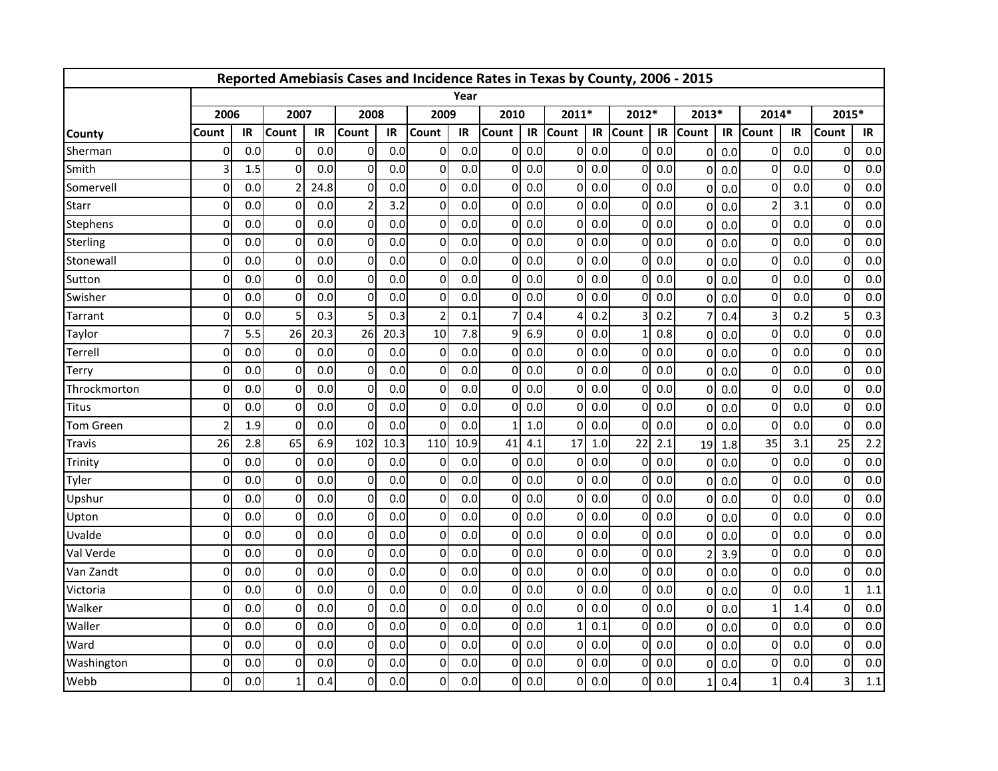|                  |                          |     |                |      | Reported Amebiasis Cases and Incidence Rates in Texas by County, 2006 - 2015 |      |                |      |              |     |              |     |          |     |                |     |                |     |              |     |
|------------------|--------------------------|-----|----------------|------|------------------------------------------------------------------------------|------|----------------|------|--------------|-----|--------------|-----|----------|-----|----------------|-----|----------------|-----|--------------|-----|
|                  |                          |     |                |      |                                                                              |      |                | Year |              |     |              |     |          |     |                |     |                |     |              |     |
|                  | 2006                     |     | 2007           |      | 2008                                                                         |      | 2009           |      | 2010         |     | 2011*        |     | 2012*    |     | 2013*          |     | 2014*          |     | 2015*        |     |
| <b>County</b>    | Count                    | IR  | Count          | IR   | Count                                                                        | IR   | Count          | IR   | <b>Count</b> | IR  | <b>Count</b> | IR  | Count    | IR  | <b>Count</b>   | IR  | Count          | IR  | Count        | IR  |
| Sherman          | 0                        | 0.0 | $\overline{0}$ | 0.0  | $\Omega$                                                                     | 0.0  | $\Omega$       | 0.0  | 0            | 0.0 | $\Omega$     | 0.0 | Οl       | 0.0 | $\mathbf 0$    | 0.0 | 0              | 0.0 | 0            | 0.0 |
| Smith            | 3                        | 1.5 | $\Omega$       | 0.0  | $\Omega$                                                                     | 0.0  | $\overline{0}$ | 0.0  | 0            | 0.0 | $\Omega$     | 0.0 | $\Omega$ | 0.0 | $\Omega$       | 0.0 | $\mathbf 0$    | 0.0 | $\Omega$     | 0.0 |
| Somervell        | $\mathbf{0}$             | 0.0 |                | 24.8 | $\Omega$                                                                     | 0.0  | $\overline{0}$ | 0.0  | U            | 0.0 | $\Omega$     | 0.0 | $\Omega$ | 0.0 | $\Omega$       | 0.0 | $\mathbf 0$    | 0.0 | $\Omega$     | 0.0 |
| Starr            | $\Omega$                 | 0.0 | $\Omega$       | 0.0  | $\overline{2}$                                                               | 3.2  | $\overline{0}$ | 0.0  | 0            | 0.0 | $\Omega$     | 0.0 | $\Omega$ | 0.0 | $\Omega$       | 0.0 | $\overline{2}$ | 3.1 | $\Omega$     | 0.0 |
| Stephens         | $\mathbf{0}$             | 0.0 | $\overline{0}$ | 0.0  | 0                                                                            | 0.0  | $\overline{0}$ | 0.0  | 0            | 0.0 | $\Omega$     | 0.0 | Οl       | 0.0 | $\mathbf 0$    | 0.0 | $\mathbf 0$    | 0.0 | $\Omega$     | 0.0 |
| Sterling         | 0                        | 0.0 | $\overline{0}$ | 0.0  | $\Omega$                                                                     | 0.0  | $\overline{0}$ | 0.0  | 0            | 0.0 | $\Omega$     | 0.0 | Οl       | 0.0 | $\Omega$       | 0.0 | $\mathbf 0$    | 0.0 | $\Omega$     | 0.0 |
| Stonewall        | $\mathbf{0}$             | 0.0 | $\mathbf 0$    | 0.0  | 0                                                                            | 0.0  | $\overline{0}$ | 0.0  | 0            | 0.0 | $\Omega$     | 0.0 | $\Omega$ | 0.0 | $\Omega$       | 0.0 | $\mathbf 0$    | 0.0 | $\Omega$     | 0.0 |
| Sutton           | $\Omega$                 | 0.0 | $\Omega$       | 0.0  | $\Omega$                                                                     | 0.0  | $\overline{0}$ | 0.0  | O            | 0.0 | $\Omega$     | 0.0 | $\Omega$ | 0.0 | $\mathbf{0}$   | 0.0 | $\Omega$       | 0.0 | $\Omega$     | 0.0 |
| Swisher          | $\mathbf{0}$             | 0.0 | $\mathbf{0}$   | 0.0  | $\Omega$                                                                     | 0.0  | $\overline{0}$ | 0.0  | 0            | 0.0 | $\Omega$     | 0.0 | $\Omega$ | 0.0 | $\mathbf 0$    | 0.0 | $\mathbf 0$    | 0.0 | $\Omega$     | 0.0 |
| Tarrant          | $\Omega$                 | 0.0 | 5              | 0.3  |                                                                              | 0.3  | $\overline{2}$ | 0.1  |              | 0.4 |              | 0.2 |          | 0.2 | $\overline{7}$ | 0.4 | 3              | 0.2 | 5            | 0.3 |
| Taylor           |                          | 5.5 | 26             | 20.3 | 26                                                                           | 20.3 | 10             | 7.8  | 9            | 6.9 | $\Omega$     | 0.0 |          | 0.8 | $\Omega$       | 0.0 | $\mathbf 0$    | 0.0 | $\Omega$     | 0.0 |
| Terrell          | $\Omega$                 | 0.0 | $\mathbf 0$    | 0.0  | 0                                                                            | 0.0  | $\overline{0}$ | 0.0  | 0            | 0.0 | $\Omega$     | 0.0 | $\Omega$ | 0.0 | $\Omega$       | 0.0 | $\mathbf 0$    | 0.0 | $\Omega$     | 0.0 |
| <b>Terry</b>     | $\Omega$                 | 0.0 | $\mathbf{0}$   | 0.0  | $\Omega$                                                                     | 0.0  | $\overline{0}$ | 0.0  | 0            | 0.0 | $\Omega$     | 0.0 | $\Omega$ | 0.0 | $\mathbf{0}$   | 0.0 | $\mathbf 0$    | 0.0 | $\Omega$     | 0.0 |
| Throckmorton     | $\mathbf{0}$             | 0.0 | $\mathbf 0$    | 0.0  | $\Omega$                                                                     | 0.0  | $\overline{0}$ | 0.0  | 0            | 0.0 | $\Omega$     | 0.0 | $\Omega$ | 0.0 | $\mathbf 0$    | 0.0 | $\mathbf 0$    | 0.0 | $\Omega$     | 0.0 |
| <b>Titus</b>     | $\Omega$                 | 0.0 | $\Omega$       | 0.0  | $\Omega$                                                                     | 0.0  | $\overline{0}$ | 0.0  | 0            | 0.0 | $\Omega$     | 0.0 | ΩI       | 0.0 | $\Omega$       | 0.0 | $\overline{0}$ | 0.0 | $\Omega$     | 0.0 |
| <b>Tom Green</b> | $\overline{\phantom{a}}$ | 1.9 | $\Omega$       | 0.0  | $\Omega$                                                                     | 0.0  | $\overline{0}$ | 0.0  | 1            | 1.0 | $\Omega$     | 0.0 | Οl       | 0.0 | $\Omega$       | 0.0 | $\mathbf 0$    | 0.0 | $\Omega$     | 0.0 |
| Travis           | 26                       | 2.8 | 65             | 6.9  | 102                                                                          | 10.3 | 110            | 10.9 | 41           | 4.1 | 17           | 1.0 | 22       | 2.1 | 19             | 1.8 | 35             | 3.1 | 25           | 2.2 |
| Trinity          | $\mathbf{0}$             | 0.0 | $\Omega$       | 0.0  | $\Omega$                                                                     | 0.0  | $\overline{0}$ | 0.0  | 0            | 0.0 | $\Omega$     | 0.0 | $\Omega$ | 0.0 | $\Omega$       | 0.0 | $\overline{0}$ | 0.0 | $\Omega$     | 0.0 |
| Tyler            | $\Omega$                 | 0.0 | $\Omega$       | 0.0  | $\Omega$                                                                     | 0.0  | $\Omega$       | 0.0  | 0            | 0.0 | $\Omega$     | 0.0 | $\Omega$ | 0.0 | $\mathbf{0}$   | 0.0 | $\Omega$       | 0.0 | $\Omega$     | 0.0 |
| Upshur           | $\Omega$                 | 0.0 | $\Omega$       | 0.0  | $\Omega$                                                                     | 0.0  | $\overline{0}$ | 0.0  | 0            | 0.0 | $\Omega$     | 0.0 | ΩI       | 0.0 | $\mathbf 0$    | 0.0 | $\Omega$       | 0.0 | $\Omega$     | 0.0 |
| Upton            | $\Omega$                 | 0.0 | 0              | 0.0  | $\Omega$                                                                     | 0.0  | $\overline{0}$ | 0.0  | 0            | 0.0 | $\Omega$     | 0.0 | $\Omega$ | 0.0 | $\Omega$       | 0.0 | 0              | 0.0 | 0            | 0.0 |
| Uvalde           | $\Omega$                 | 0.0 | $\mathbf{0}$   | 0.0  | $\Omega$                                                                     | 0.0  | $\overline{0}$ | 0.0  | 0            | 0.0 | $\Omega$     | 0.0 | $\Omega$ | 0.0 | $\Omega$       | 0.0 | $\mathbf 0$    | 0.0 | $\Omega$     | 0.0 |
| Val Verde        | $\mathbf{0}$             | 0.0 | 0              | 0.0  | $\Omega$                                                                     | 0.0  | $\overline{0}$ | 0.0  | 0            | 0.0 | $\mathbf{0}$ | 0.0 | $\Omega$ | 0.0 | $\overline{2}$ | 3.9 | $\mathbf 0$    | 0.0 | $\mathbf 0$  | 0.0 |
| Van Zandt        | 0                        | 0.0 | $\Omega$       | 0.0  | 0                                                                            | 0.0  | $\overline{0}$ | 0.0  | 0            | 0.0 | U            | 0.0 | $\Omega$ | 0.0 | $\mathbf{0}$   | 0.0 | $\mathbf 0$    | 0.0 | $\Omega$     | 0.0 |
| Victoria         | $\mathbf{0}$             | 0.0 | $\overline{0}$ | 0.0  | $\Omega$                                                                     | 0.0  | $\overline{0}$ | 0.0  | 0            | 0.0 | $\Omega$     | 0.0 | Οl       | 0.0 | $\overline{0}$ | 0.0 | $\mathbf 0$    | 0.0 | $\mathbf{1}$ | 1.1 |
| Walker           | $\Omega$                 | 0.0 | $\overline{0}$ | 0.0  | $\Omega$                                                                     | 0.0  | $\overline{0}$ | 0.0  | 0            | 0.0 | $\Omega$     | 0.0 | Οl       | 0.0 | $\Omega$       | 0.0 | $\mathbf{1}$   | 1.4 | $\Omega$     | 0.0 |
| Waller           | $\Omega$                 | 0.0 | $\mathbf 0$    | 0.0  | $\Omega$                                                                     | 0.0  | $\overline{0}$ | 0.0  | 0            | 0.0 |              | 0.1 | $\Omega$ | 0.0 | $\Omega$       | 0.0 | $\mathbf 0$    | 0.0 | $\Omega$     | 0.0 |
| Ward             | $\Omega$                 | 0.0 | $\Omega$       | 0.0  | $\Omega$                                                                     | 0.0  | $\overline{0}$ | 0.0  | 0            | 0.0 | $\Omega$     | 0.0 | $\Omega$ | 0.0 | $\mathbf{0}$   | 0.0 | $\mathbf{0}$   | 0.0 | $\Omega$     | 0.0 |
| Washington       | 0                        | 0.0 | $\Omega$       | 0.0  | 0                                                                            | 0.0  | $\overline{0}$ | 0.0  | 0            | 0.0 | $\Omega$     | 0.0 | $\Omega$ | 0.0 | $\mathbf{0}$   | 0.0 | $\mathbf 0$    | 0.0 | $\Omega$     | 0.0 |
| Webb             | 0                        | 0.0 | $\mathbf{1}$   | 0.4  | $\Omega$                                                                     | 0.0  | $\Omega$       | 0.0  | 0            | 0.0 | $\Omega$     | 0.0 | ΟI       | 0.0 | $\mathbf{1}$   | 0.4 | $\mathbf 1$    | 0.4 | 3            | 1.1 |